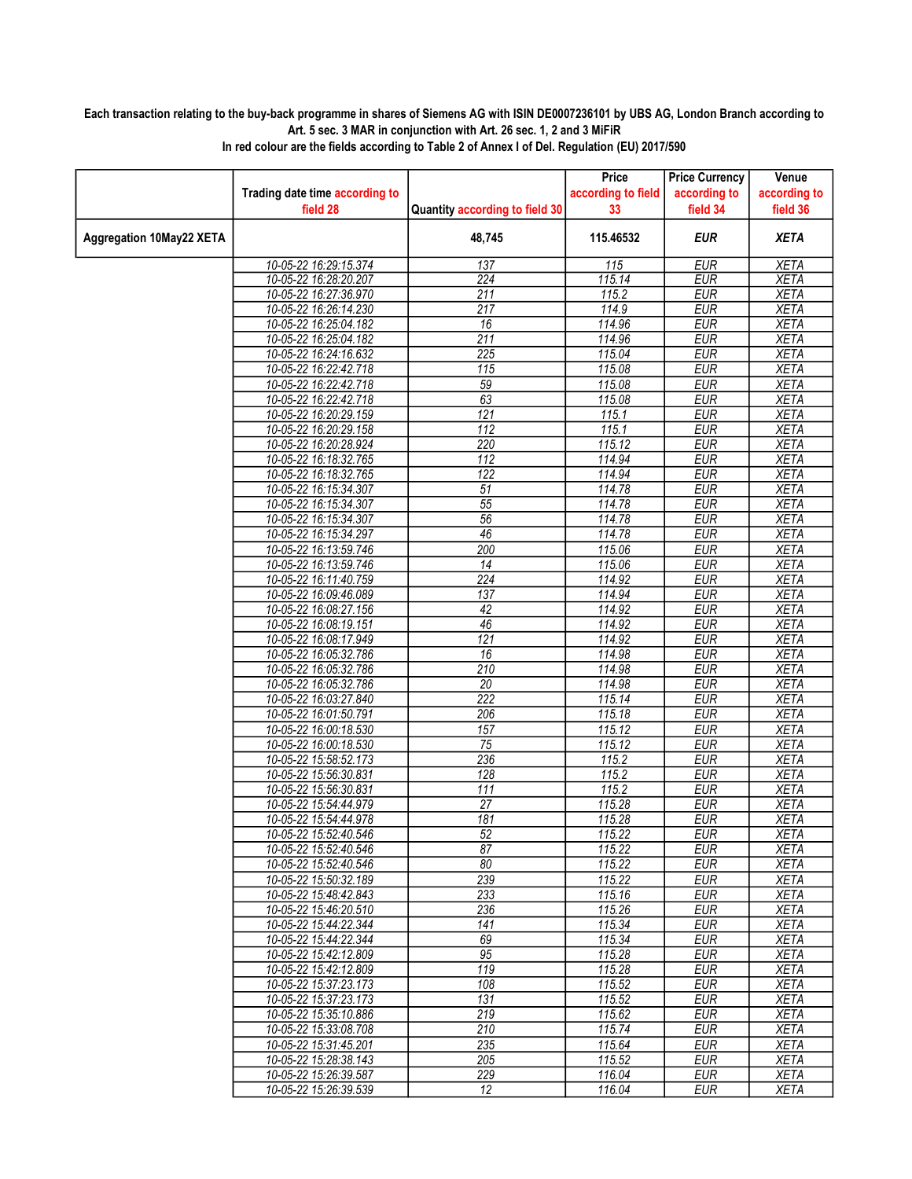## Each transaction relating to the buy-back programme in shares of Siemens AG with ISIN DE0007236101 by UBS AG, London Branch according to Art. 5 sec. 3 MAR in conjunction with Art. 26 sec. 1, 2 and 3 MiFiR

|                                 |                                                |                                | Price              | <b>Price Currency</b>    | Venue                      |
|---------------------------------|------------------------------------------------|--------------------------------|--------------------|--------------------------|----------------------------|
|                                 | Trading date time according to                 |                                | according to field | according to             | according to               |
|                                 | field 28                                       | Quantity according to field 30 | 33                 | field 34                 | field 36                   |
| <b>Aggregation 10May22 XETA</b> |                                                | 48,745                         | 115.46532          | <b>EUR</b>               | <b>XETA</b>                |
|                                 | 10-05-22 16:29:15.374                          | 137                            | 115                | <b>EUR</b>               | <b>XETA</b>                |
|                                 | 10-05-22 16:28:20.207                          | $\overline{224}$               | 115.14             | <b>EUR</b>               | <b>XETA</b>                |
|                                 | 10-05-22 16:27:36.970                          | 211                            | 115.2              | <b>EUR</b>               | <b>XETA</b>                |
|                                 | 10-05-22 16:26:14.230                          | 217                            | 114.9              | <b>EUR</b>               | <b>XETA</b>                |
|                                 | 10-05-22 16:25:04.182                          | 16                             | 114.96             | <b>EUR</b>               | <b>XETA</b>                |
|                                 | 10-05-22 16:25:04.182                          | $\overline{211}$               | 114.96             | <b>EUR</b>               | <b>XETA</b>                |
|                                 | 10-05-22 16:24:16.632                          | $\overline{225}$               | 115.04             | <b>EUR</b>               | <b>XETA</b>                |
|                                 | 10-05-22 16:22:42.718                          | 115                            | 115.08             | <b>EUR</b>               | <b>XETA</b>                |
|                                 | 10-05-22 16:22:42.718                          | $\overline{59}$                | 115.08             | <b>EUR</b>               | <b>XETA</b>                |
|                                 | 10-05-22 16:22:42.718                          | 63                             | 115.08             | <b>EUR</b>               | <b>XETA</b>                |
|                                 | 10-05-22 16:20:29.159                          | $\overline{121}$               | 115.1              | <b>EUR</b>               | <b>XETA</b>                |
|                                 | 10-05-22 16:20:29.158                          | 112                            | 115.1              | <b>EUR</b>               | <b>XETA</b>                |
|                                 | 10-05-22 16:20:28.924                          | 220                            | 115.12             | <b>EUR</b>               | <b>XETA</b>                |
|                                 | 10-05-22 16:18:32.765                          | 112                            | 114.94             | <b>EUR</b>               | <b>XETA</b>                |
|                                 | 10-05-22 16:18:32.765                          | 122                            | 114.94             | <b>EUR</b>               | <b>XETA</b>                |
|                                 | 10-05-22 16:15:34.307                          | 51                             | 114.78             | <b>EUR</b>               | <b>XETA</b>                |
|                                 | 10-05-22 16:15:34.307                          | $\overline{55}$                | 114.78             | <b>EUR</b>               | <b>XETA</b>                |
|                                 | 10-05-22 16:15:34.307                          | $\overline{56}$                | 114.78             | <b>EUR</b>               | <b>XETA</b>                |
|                                 | 10-05-22 16:15:34.297                          | 46                             | 114.78             | <b>EUR</b>               | <b>XETA</b>                |
|                                 | 10-05-22 16:13:59.746                          | 200                            | 115.06             | <b>EUR</b>               | <b>XETA</b>                |
|                                 | 10-05-22 16:13:59.746                          | 14                             | 115.06             | EUR                      | <b>XETA</b>                |
|                                 | 10-05-22 16:11:40.759                          | 224                            | 114.92             | <b>EUR</b>               | <b>XETA</b>                |
|                                 | 10-05-22 16:09:46.089                          | 137                            | 114.94             | <b>EUR</b>               | <b>XETA</b>                |
|                                 | 10-05-22 16:08:27.156                          | 42                             | 114.92             | <b>EUR</b>               | <b>XETA</b>                |
|                                 | 10-05-22 16:08:19.151                          | 46                             | 114.92             | <b>EUR</b>               | <b>XETA</b>                |
|                                 | 10-05-22 16:08:17.949                          | $\overline{121}$               | 114.92             | <b>EUR</b>               | <b>XETA</b>                |
|                                 | 10-05-22 16:05:32.786                          | 16                             | 114.98             | <b>EUR</b>               | <b>XETA</b>                |
|                                 | 10-05-22 16:05:32.786                          | 210                            | 114.98             | <b>EUR</b>               | <b>XETA</b>                |
|                                 | 10-05-22 16:05:32.786                          | $\overline{20}$                | 114.98             | <b>EUR</b>               | <b>XETA</b>                |
|                                 | 10-05-22 16:03:27.840                          | 222                            | 115.14             | <b>EUR</b>               | <b>XETA</b>                |
|                                 | 10-05-22 16:01:50.791                          | 206                            | 115.18             | <b>EUR</b>               | <b>XETA</b>                |
|                                 | 10-05-22 16:00:18.530                          | 157                            | 115.12             | <b>EUR</b>               | <b>XETA</b>                |
|                                 | 10-05-22 16:00:18.530                          | 75                             | 115.12             | <b>EUR</b>               | <b>XETA</b>                |
|                                 | 10-05-22 15:58:52.173                          | 236                            | 115.2              | <b>EUR</b>               | <b>XETA</b>                |
|                                 | 10-05-22 15:56:30.831                          | 128                            | $\frac{1}{15.2}$   | <b>EUR</b>               | <b>XETA</b>                |
|                                 | 10-05-22 15:56:30.831                          | $\overline{111}$               | 115.2              | <b>EUR</b>               | <b>XETA</b>                |
|                                 | 10-05-22 15:54:44.979                          | 27                             | 115.28             | <b>EUR</b>               | <b>XETA</b>                |
|                                 | 10-05-22 15:54:44.978                          | 181                            | 115.28             | <b>EUR</b>               | <b>XETA</b>                |
|                                 | 10-05-22 15:52:40.546                          | 52                             | 115.22             | <b>EUR</b>               | <b>XETA</b>                |
|                                 | 10-05-22 15:52:40.546                          | 87                             | 115.22             | EUR                      | <b>XETA</b>                |
|                                 | 10-05-22 15:52:40.546<br>10-05-22 15:50:32.189 | 80<br>239                      | 115.22<br>115.22   | EUR                      | XETA                       |
|                                 | 10-05-22 15:48:42.843                          | 233                            | 115.16             | <b>EUR</b>               | <b>XETA</b>                |
|                                 |                                                |                                | 115.26             | EUR                      | <b>XETA</b>                |
|                                 | 10-05-22 15:46:20.510                          | 236                            | 115.34             | <b>EUR</b>               | XETA                       |
|                                 | 10-05-22 15:44:22.344                          | 141<br>69                      |                    | <b>EUR</b><br><b>EUR</b> | <b>XETA</b>                |
|                                 | 10-05-22 15:44:22.344                          |                                | 115.34             |                          | <b>XETA</b>                |
|                                 | 10-05-22 15:42:12.809                          | 95<br>$\overline{119}$         | 115.28<br>115.28   | EUR<br><b>EUR</b>        | XETA<br><b>XETA</b>        |
|                                 | 10-05-22 15:42:12.809                          |                                |                    | $E\overline{UR}$         |                            |
|                                 | 10-05-22 15:37:23.173                          | 108                            | 115.52<br>115.52   |                          | <b>XETA</b>                |
|                                 | 10-05-22 15:37:23.173                          | 131<br>$\overline{219}$        |                    | EUR                      | <b>XETA</b>                |
|                                 | 10-05-22 15:35:10.886<br>10-05-22 15:33:08.708 | 210                            | 115.62<br>115.74   | <b>EUR</b><br><b>EUR</b> | <b>XETA</b><br><b>XETA</b> |
|                                 |                                                |                                |                    |                          |                            |
|                                 | 10-05-22 15:31:45.201                          | 235                            | 115.64             | EUR                      | <b>XETA</b>                |
|                                 | 10-05-22 15:28:38.143<br>10-05-22 15:26:39.587 | 205<br>229                     | 115.52<br>116.04   | EUR<br><b>EUR</b>        | <b>XETA</b><br><b>XETA</b> |
|                                 | 10-05-22 15:26:39.539                          | 12                             | 116.04             | EUR                      |                            |
|                                 |                                                |                                |                    |                          | XETA                       |

In red colour are the fields according to Table 2 of Annex I of Del. Regulation (EU) 2017/590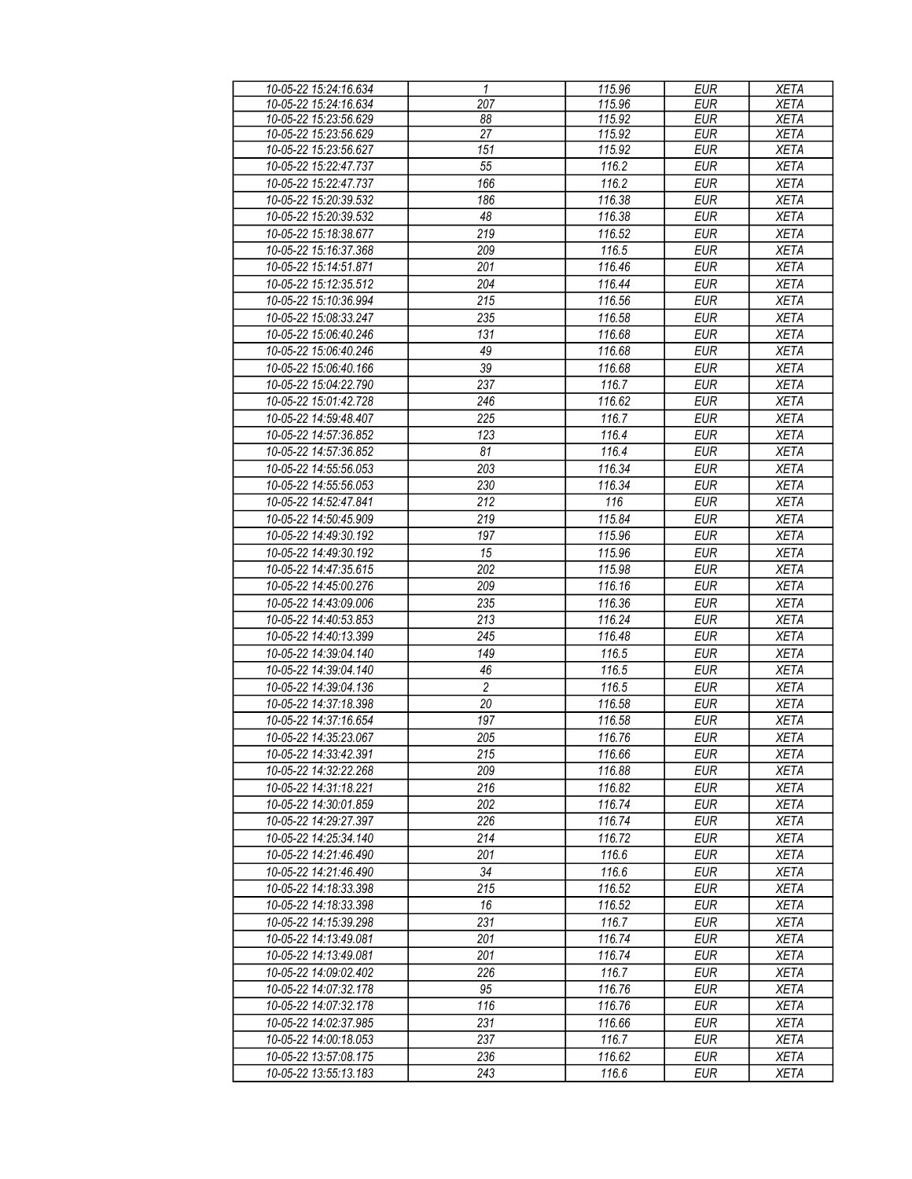| 10-05-22 15:24:16.634 | 1                | 115.96 | <b>EUR</b> | <b>XETA</b> |
|-----------------------|------------------|--------|------------|-------------|
| 10-05-22 15:24:16.634 | 207              | 115.96 | <b>EUR</b> | <b>XETA</b> |
| 10-05-22 15:23:56.629 | 88               | 115.92 | <b>EUR</b> | <b>XETA</b> |
| 10-05-22 15:23:56.629 | 27               | 115.92 | <b>EUR</b> | <b>XETA</b> |
| 10-05-22 15:23:56.627 | 151              | 115.92 | <b>EUR</b> | <b>XETA</b> |
| 10-05-22 15:22:47.737 | 55               | 116.2  | <b>EUR</b> | <b>XETA</b> |
| 10-05-22 15:22:47.737 | 166              | 116.2  | <b>EUR</b> | <b>XETA</b> |
| 10-05-22 15:20:39.532 | 186              | 116.38 | <b>EUR</b> | <b>XETA</b> |
| 10-05-22 15:20:39.532 | 48               | 116.38 | <b>EUR</b> | <b>XETA</b> |
| 10-05-22 15:18:38.677 | 219              | 116.52 | <b>EUR</b> | <b>XETA</b> |
| 10-05-22 15:16:37.368 | 209              | 116.5  | <b>EUR</b> | <b>XETA</b> |
| 10-05-22 15:14:51.871 | 201              | 116.46 | <b>EUR</b> | <b>XETA</b> |
| 10-05-22 15:12:35.512 | 204              | 116.44 | <b>EUR</b> | <b>XETA</b> |
| 10-05-22 15:10:36.994 | 215              | 116.56 | <b>EUR</b> | <b>XETA</b> |
| 10-05-22 15:08:33.247 | 235              | 116.58 | <b>EUR</b> | <b>XETA</b> |
| 10-05-22 15:06:40.246 | 131              | 116.68 | <b>EUR</b> | <b>XETA</b> |
| 10-05-22 15:06:40.246 | 49               | 116.68 | <b>EUR</b> | <b>XETA</b> |
| 10-05-22 15:06:40.166 | 39               | 116.68 | <b>EUR</b> | <b>XETA</b> |
| 10-05-22 15:04:22.790 | 237              | 116.7  | <b>EUR</b> | <b>XETA</b> |
| 10-05-22 15:01:42.728 | 246              | 116.62 | <b>EUR</b> | <b>XETA</b> |
| 10-05-22 14:59:48.407 | 225              | 116.7  | <b>EUR</b> | <b>XETA</b> |
| 10-05-22 14:57:36.852 | 123              | 116.4  | <b>EUR</b> | <b>XETA</b> |
| 10-05-22 14:57:36.852 | 81               | 116.4  | <b>EUR</b> | <b>XETA</b> |
| 10-05-22 14:55:56.053 | 203              | 116.34 | <b>EUR</b> | <b>XETA</b> |
|                       |                  |        | <b>EUR</b> |             |
| 10-05-22 14:55:56.053 | 230              | 116.34 |            | <b>XETA</b> |
| 10-05-22 14:52:47.841 | 212              | 116    | <b>EUR</b> | <b>XETA</b> |
| 10-05-22 14:50:45.909 | 219              | 115.84 | <b>EUR</b> | <b>XETA</b> |
| 10-05-22 14:49:30.192 | 197              | 115.96 | <b>EUR</b> | <b>XETA</b> |
| 10-05-22 14:49:30.192 | 15               | 115.96 | <b>EUR</b> | <b>XETA</b> |
| 10-05-22 14:47:35.615 | $\overline{202}$ | 115.98 | <b>EUR</b> | <b>XETA</b> |
| 10-05-22 14:45:00.276 | 209              | 116.16 | <b>EUR</b> | <b>XETA</b> |
| 10-05-22 14:43:09.006 | 235              | 116.36 | <b>EUR</b> | <b>XETA</b> |
| 10-05-22 14:40:53.853 | 213              | 116.24 | <b>EUR</b> | <b>XETA</b> |
| 10-05-22 14:40:13.399 | 245              | 116.48 | <b>EUR</b> | <b>XETA</b> |
| 10-05-22 14:39:04.140 | 149              | 116.5  | <b>EUR</b> | <b>XETA</b> |
| 10-05-22 14:39:04.140 | 46               | 116.5  | <b>EUR</b> | <b>XETA</b> |
| 10-05-22 14:39:04.136 | $\overline{2}$   | 116.5  | <b>EUR</b> | <b>XETA</b> |
| 10-05-22 14:37:18.398 | $\overline{20}$  | 116.58 | <b>EUR</b> | <b>XETA</b> |
| 10-05-22 14:37:16.654 | 197              | 116.58 | <b>EUR</b> | <b>XETA</b> |
| 10-05-22 14:35:23.067 | 205              | 116.76 | <b>EUR</b> | <b>XETA</b> |
| 10-05-22 14:33:42.391 | 215              | 116.66 | EUR        | <b>XETA</b> |
| 10-05-22 14:32:22.268 | 209              | 116.88 | <b>EUR</b> | <b>XETA</b> |
| 10-05-22 14:31:18.221 | 216              | 116.82 | <b>EUR</b> | <b>XETA</b> |
| 10-05-22 14:30:01.859 | 202              | 116.74 | <b>EUR</b> | <b>XETA</b> |
| 10-05-22 14:29:27.397 | 226              | 116.74 | <b>EUR</b> | XETA        |
| 10-05-22 14:25:34.140 | 214              | 116.72 | <b>EUR</b> | XETA        |
| 10-05-22 14:21:46.490 | 201              | 116.6  | <b>EUR</b> | XETA        |
| 10-05-22 14:21:46.490 | 34               | 116.6  | <b>EUR</b> | <b>XETA</b> |
| 10-05-22 14:18:33.398 | 215              | 116.52 | <b>EUR</b> | <b>XETA</b> |
| 10-05-22 14:18:33.398 | 16               | 116.52 | <b>EUR</b> | <b>XETA</b> |
| 10-05-22 14:15:39.298 | 231              | 116.7  | <b>EUR</b> | <b>XETA</b> |
| 10-05-22 14:13:49.081 | 201              | 116.74 | <b>EUR</b> | <b>XETA</b> |
| 10-05-22 14:13:49.081 | 201              | 116.74 | <b>EUR</b> | <b>XETA</b> |
| 10-05-22 14:09:02.402 | 226              | 116.7  | <b>EUR</b> | <b>XETA</b> |
| 10-05-22 14:07:32.178 | 95               | 116.76 | <b>EUR</b> | <b>XETA</b> |
| 10-05-22 14:07:32.178 | 116              | 116.76 | <b>EUR</b> | <b>XETA</b> |
| 10-05-22 14:02:37.985 | 231              | 116.66 | <b>EUR</b> | <b>XETA</b> |
| 10-05-22 14:00:18.053 | 237              | 116.7  | <b>EUR</b> | <b>XETA</b> |
| 10-05-22 13:57:08.175 | 236              | 116.62 | EUR        | <b>XETA</b> |
| 10-05-22 13:55:13.183 | 243              | 116.6  | <b>EUR</b> | <b>XETA</b> |
|                       |                  |        |            |             |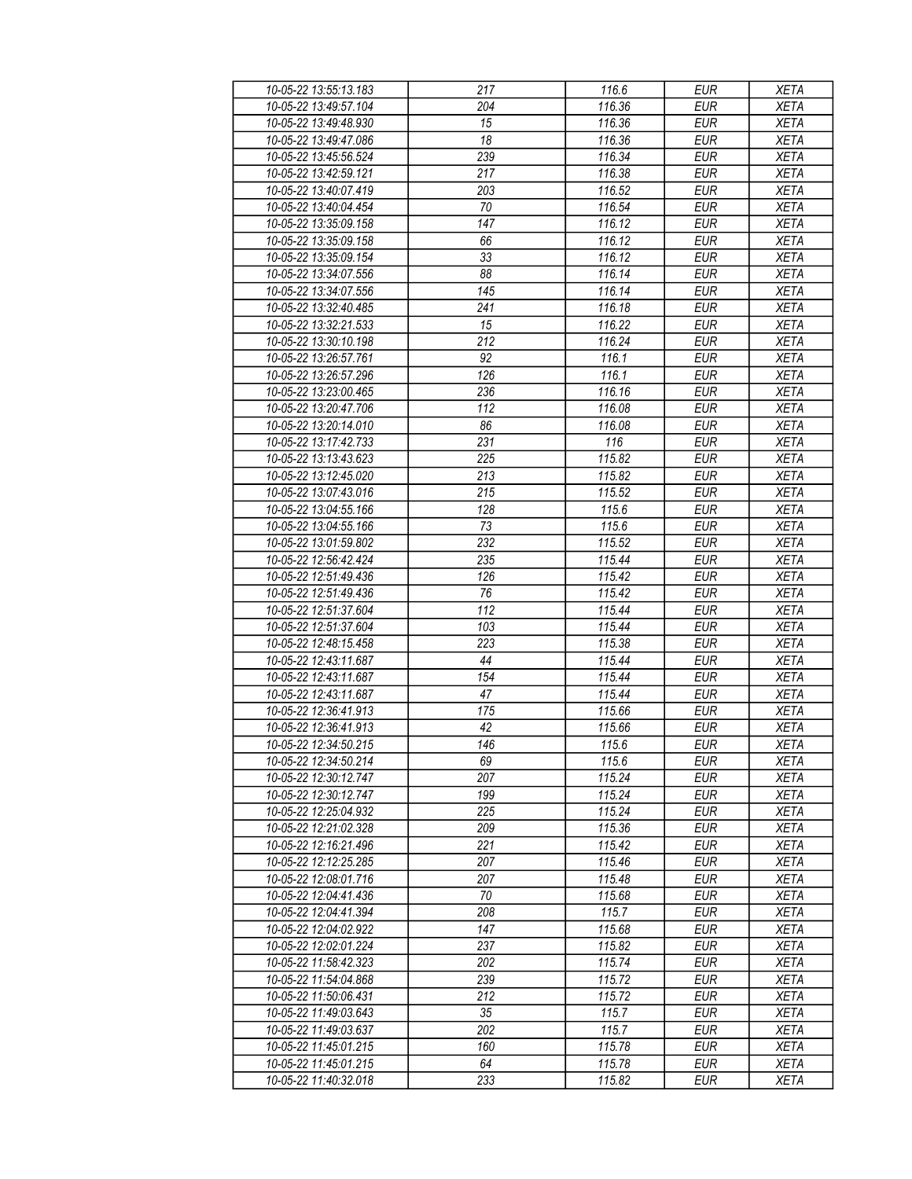| 10-05-22 13:55:13.183 | 217              | 116.6  | <b>EUR</b> | <b>XETA</b> |
|-----------------------|------------------|--------|------------|-------------|
| 10-05-22 13:49:57.104 | 204              | 116.36 | <b>EUR</b> | <b>XETA</b> |
| 10-05-22 13:49:48.930 | $\overline{15}$  | 116.36 | <b>EUR</b> | <b>XETA</b> |
| 10-05-22 13:49:47.086 | 18               | 116.36 | <b>EUR</b> | <b>XETA</b> |
| 10-05-22 13:45:56.524 | 239              | 116.34 | <b>EUR</b> | <b>XETA</b> |
| 10-05-22 13:42:59.121 | 217              | 116.38 | <b>EUR</b> | <b>XETA</b> |
|                       |                  | 116.52 | <b>EUR</b> |             |
| 10-05-22 13:40:07.419 | 203              |        |            | <b>XETA</b> |
| 10-05-22 13:40:04.454 | 70               | 116.54 | <b>EUR</b> | <b>XETA</b> |
| 10-05-22 13:35:09.158 | 147              | 116.12 | <b>EUR</b> | <b>XETA</b> |
| 10-05-22 13:35:09.158 | 66               | 116.12 | <b>EUR</b> | <b>XETA</b> |
| 10-05-22 13:35:09.154 | 33               | 116.12 | <b>EUR</b> | <b>XETA</b> |
| 10-05-22 13:34:07.556 | 88               | 116.14 | <b>EUR</b> | <b>XETA</b> |
| 10-05-22 13:34:07.556 | 145              | 116.14 | <b>EUR</b> | <b>XETA</b> |
| 10-05-22 13:32:40.485 | 241              | 116.18 | <b>EUR</b> | <b>XETA</b> |
| 10-05-22 13:32:21.533 | 15               | 116.22 | <b>EUR</b> | <b>XETA</b> |
| 10-05-22 13:30:10.198 | 212              | 116.24 | <b>EUR</b> | <b>XETA</b> |
| 10-05-22 13:26:57.761 | 92               | 116.1  | <b>EUR</b> | <b>XETA</b> |
| 10-05-22 13:26:57.296 | 126              | 116.1  | <b>EUR</b> | <b>XETA</b> |
| 10-05-22 13:23:00.465 | 236              | 116.16 | <b>EUR</b> | <b>XETA</b> |
| 10-05-22 13:20:47.706 | $\overline{112}$ | 116.08 | <b>EUR</b> | <b>XETA</b> |
| 10-05-22 13:20:14.010 | 86               | 116.08 | <b>EUR</b> | <b>XETA</b> |
| 10-05-22 13:17:42.733 | 231              | 116    | <b>EUR</b> | <b>XETA</b> |
|                       |                  |        |            |             |
| 10-05-22 13:13:43.623 | 225              | 115.82 | <b>EUR</b> | <b>XETA</b> |
| 10-05-22 13:12:45.020 | 213              | 115.82 | <b>EUR</b> | <b>XETA</b> |
| 10-05-22 13:07:43.016 | 215              | 115.52 | <b>EUR</b> | <b>XETA</b> |
| 10-05-22 13:04:55.166 | 128              | 115.6  | <b>EUR</b> | <b>XETA</b> |
| 10-05-22 13:04:55.166 | 73               | 115.6  | <b>EUR</b> | <b>XETA</b> |
| 10-05-22 13:01:59.802 | 232              | 115.52 | <b>EUR</b> | <b>XETA</b> |
| 10-05-22 12:56:42.424 | 235              | 115.44 | <b>EUR</b> | <b>XETA</b> |
| 10-05-22 12:51:49.436 | 126              | 115.42 | <b>EUR</b> | <b>XETA</b> |
| 10-05-22 12:51:49.436 | 76               | 115.42 | <b>EUR</b> | <b>XETA</b> |
| 10-05-22 12:51:37.604 | 112              | 115.44 | <b>EUR</b> | <b>XETA</b> |
| 10-05-22 12:51:37.604 | 103              | 115.44 | <b>EUR</b> | <b>XETA</b> |
| 10-05-22 12:48:15.458 | 223              | 115.38 | <b>EUR</b> | <b>XETA</b> |
| 10-05-22 12:43:11.687 | 44               | 115.44 | <b>EUR</b> | <b>XETA</b> |
| 10-05-22 12:43:11.687 | 154              | 115.44 | <b>EUR</b> | <b>XETA</b> |
| 10-05-22 12:43:11.687 | 47               | 115.44 | <b>EUR</b> | <b>XETA</b> |
| 10-05-22 12:36:41.913 | 175              | 115.66 | <b>EUR</b> | <b>XETA</b> |
| 10-05-22 12:36:41.913 | 42               | 115.66 | <b>EUR</b> | <b>XETA</b> |
| 10-05-22 12:34:50 215 | 146              | 115.6  | <b>EUR</b> | <b>XETA</b> |
| 10-05-22 12:34:50.214 | 69               |        |            |             |
|                       |                  | 115.6  | EUR        | XETA        |
| 10-05-22 12:30:12.747 | 207              | 115.24 | <b>EUR</b> | <b>XETA</b> |
| 10-05-22 12:30:12.747 | 199              | 115.24 | <b>EUR</b> | <b>XETA</b> |
| 10-05-22 12:25:04.932 | 225              | 115.24 | <b>EUR</b> | <b>XETA</b> |
| 10-05-22 12:21:02.328 | 209              | 115.36 | <b>EUR</b> | <b>XETA</b> |
| 10-05-22 12:16:21.496 | 221              | 115.42 | <b>EUR</b> | <b>XETA</b> |
| 10-05-22 12:12:25.285 | 207              | 115.46 | <b>EUR</b> | <b>XETA</b> |
| 10-05-22 12:08:01.716 | 207              | 115.48 | <b>EUR</b> | <b>XETA</b> |
| 10-05-22 12:04:41.436 | 70               | 115.68 | <b>EUR</b> | <b>XETA</b> |
| 10-05-22 12:04:41.394 | 208              | 115.7  | <b>EUR</b> | <b>XETA</b> |
| 10-05-22 12:04:02.922 | 147              | 115.68 | <b>EUR</b> | <b>XETA</b> |
| 10-05-22 12:02:01.224 | 237              | 115.82 | <b>EUR</b> | <b>XETA</b> |
| 10-05-22 11:58:42.323 | 202              | 115.74 | <b>EUR</b> | <b>XETA</b> |
| 10-05-22 11:54:04.868 | 239              | 115.72 | EUR        | <b>XETA</b> |
| 10-05-22 11:50:06.431 | 212              | 115.72 | <b>EUR</b> | <b>XETA</b> |
| 10-05-22 11:49:03.643 | $35\,$           | 115.7  | <b>EUR</b> | <b>XETA</b> |
| 10-05-22 11:49:03.637 | 202              | 115.7  | <b>EUR</b> | <b>XETA</b> |
|                       |                  |        |            |             |
| 10-05-22 11:45:01.215 | 160              | 115.78 | EUR        | XETA        |
| 10-05-22 11:45:01.215 | 64               | 115.78 | <b>EUR</b> | XETA        |
| 10-05-22 11:40:32.018 | 233              | 115.82 | EUR        | <b>XETA</b> |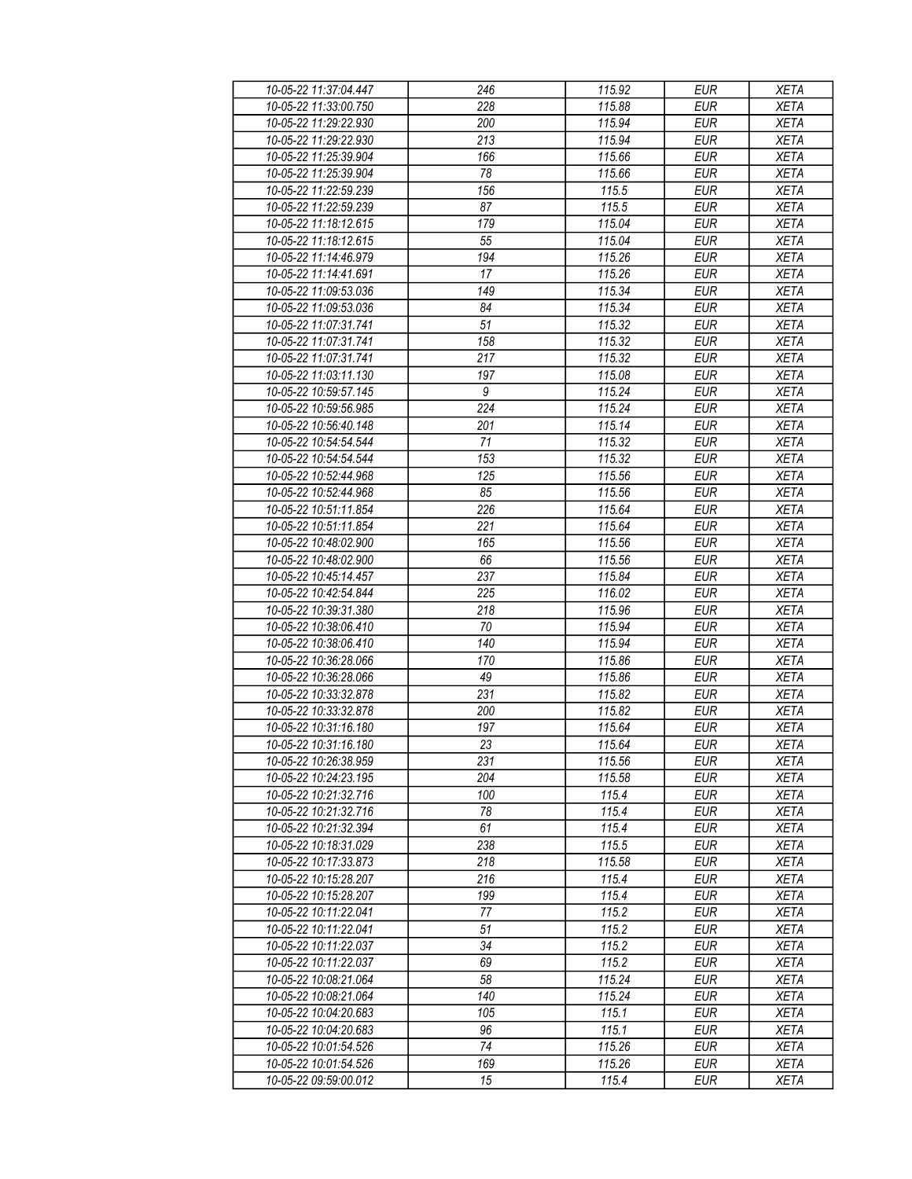| 10-05-22 11:37:04.447 | 246              | 115.92 | <b>EUR</b> | <b>XETA</b>                |
|-----------------------|------------------|--------|------------|----------------------------|
| 10-05-22 11:33:00.750 | 228              | 115.88 | <b>EUR</b> | <b>XETA</b>                |
| 10-05-22 11:29:22.930 | 200              | 115.94 | <b>EUR</b> | <b>XETA</b>                |
| 10-05-22 11:29:22.930 | 213              | 115.94 | <b>EUR</b> | <b>XETA</b>                |
| 10-05-22 11:25:39.904 | 166              | 115.66 | <b>EUR</b> | <b>XETA</b>                |
| 10-05-22 11:25:39.904 | 78               | 115.66 | <b>EUR</b> | <b>XETA</b>                |
|                       |                  | 115.5  | <b>EUR</b> |                            |
| 10-05-22 11:22:59.239 | 156              |        |            | <b>XETA</b>                |
| 10-05-22 11:22:59.239 | 87               | 115.5  | <b>EUR</b> | <b>XETA</b>                |
| 10-05-22 11:18:12.615 | 179              | 115.04 | <b>EUR</b> | <b>XETA</b>                |
| 10-05-22 11:18:12.615 | 55               | 115.04 | <b>EUR</b> | <b>XETA</b>                |
| 10-05-22 11:14:46.979 | 194              | 115.26 | <b>EUR</b> | <b>XETA</b>                |
| 10-05-22 11:14:41.691 | 17               | 115.26 | <b>EUR</b> | <b>XETA</b>                |
| 10-05-22 11:09:53.036 | 149              | 115.34 | <b>EUR</b> | <b>XETA</b>                |
| 10-05-22 11:09:53.036 | 84               | 115.34 | <b>EUR</b> | <b>XETA</b>                |
| 10-05-22 11:07:31.741 | 51               | 115.32 | <b>EUR</b> | <b>XETA</b>                |
| 10-05-22 11:07:31.741 | 158              | 115.32 | <b>EUR</b> | <b>XETA</b>                |
| 10-05-22 11:07:31.741 | 217              | 115.32 | <b>EUR</b> | <b>XETA</b>                |
| 10-05-22 11:03:11.130 | 197              | 115.08 | <b>EUR</b> | <b>XETA</b>                |
| 10-05-22 10:59:57.145 | 9                | 115.24 | <b>EUR</b> | <b>XETA</b>                |
| 10-05-22 10:59:56.985 | $\overline{224}$ | 115.24 | <b>EUR</b> | <b>XETA</b>                |
| 10-05-22 10:56:40.148 | 201              | 115.14 | <b>EUR</b> | <b>XETA</b>                |
| 10-05-22 10:54:54.544 | 71               | 115.32 | <b>EUR</b> | <b>XETA</b>                |
| 10-05-22 10:54:54.544 | 153              | 115.32 | <b>EUR</b> | <b>XETA</b>                |
| 10-05-22 10:52:44.968 | 125              | 115.56 | <b>EUR</b> | <b>XETA</b>                |
|                       |                  |        |            |                            |
| 10-05-22 10:52:44.968 | 85               | 115.56 | <b>EUR</b> | <b>XETA</b>                |
| 10-05-22 10:51:11.854 | 226              | 115.64 | <b>EUR</b> | <b>XETA</b>                |
| 10-05-22 10:51:11.854 | 221              | 115.64 | <b>EUR</b> | <b>XETA</b>                |
| 10-05-22 10:48:02.900 | 165              | 115.56 | <b>EUR</b> | <b>XETA</b>                |
| 10-05-22 10:48:02.900 | 66               | 115.56 | <b>EUR</b> | <b>XETA</b>                |
| 10-05-22 10:45:14.457 | 237              | 115.84 | <b>EUR</b> | <b>XETA</b>                |
| 10-05-22 10:42:54.844 | 225              | 116.02 | <b>EUR</b> | <b>XETA</b>                |
| 10-05-22 10:39:31.380 | 218              | 115.96 | <b>EUR</b> | <b>XETA</b>                |
| 10-05-22 10:38:06.410 | 70               | 115.94 | <b>EUR</b> | <b>XETA</b>                |
| 10-05-22 10:38:06.410 | 140              | 115.94 | <b>EUR</b> | <b>XETA</b>                |
| 10-05-22 10:36:28.066 | 170              | 115.86 | <b>EUR</b> | <b>XETA</b>                |
| 10-05-22 10:36:28.066 | 49               | 115.86 | <b>EUR</b> | <b>XETA</b>                |
| 10-05-22 10:33:32.878 | 231              | 115.82 | <b>EUR</b> | <b>XETA</b>                |
| 10-05-22 10:33:32.878 | 200              | 115.82 | <b>EUR</b> | <b>XETA</b>                |
| 10-05-22 10:31:16.180 | 197              | 115.64 | <b>EUR</b> | <b>XETA</b>                |
| 10-05-22 10:31:16 180 | 23               | 115.64 | <b>EUR</b> | <b>XETA</b>                |
| 10-05-22 10:26:38.959 | 231              | 115.56 | EUR        | XETA                       |
| 10-05-22 10:24:23.195 | 204              | 115.58 | <b>EUR</b> |                            |
|                       | 100              | 115.4  | <b>EUR</b> | <b>XETA</b>                |
| 10-05-22 10:21:32.716 | 78               | 115.4  |            | <b>XETA</b><br><b>XETA</b> |
| 10-05-22 10:21:32.716 |                  |        | <b>EUR</b> |                            |
| 10-05-22 10:21:32.394 | 61               | 115.4  | <b>EUR</b> | <b>XETA</b>                |
| 10-05-22 10:18:31.029 | 238              | 115.5  | <b>EUR</b> | <b>XETA</b>                |
| 10-05-22 10:17:33.873 | 218              | 115.58 | <b>EUR</b> | <b>XETA</b>                |
| 10-05-22 10:15:28.207 | 216              | 115.4  | <b>EUR</b> | <b>XETA</b>                |
| 10-05-22 10:15:28.207 | 199              | 115.4  | <b>EUR</b> | <b>XETA</b>                |
| 10-05-22 10:11:22.041 | 77               | 115.2  | EUR        | <b>XETA</b>                |
| 10-05-22 10:11:22.041 | 51               | 115.2  | <b>EUR</b> | <b>XETA</b>                |
| 10-05-22 10:11:22.037 | 34               | 115.2  | <b>EUR</b> | <b>XETA</b>                |
| 10-05-22 10:11:22.037 | 69               | 115.2  | <b>EUR</b> | <b>XETA</b>                |
| 10-05-22 10:08:21.064 | 58               | 115.24 | <b>EUR</b> | <b>XETA</b>                |
| 10-05-22 10:08:21.064 | 140              | 115.24 | <b>EUR</b> | <b>XETA</b>                |
| 10-05-22 10:04:20.683 | 105              | 115.1  | <b>EUR</b> | <b>XETA</b>                |
| 10-05-22 10:04:20.683 | 96               | 115.1  | <b>EUR</b> | <b>XETA</b>                |
| 10-05-22 10:01:54.526 | 74               | 115.26 | EUR        | XETA                       |
| 10-05-22 10:01:54.526 | 169              | 115.26 |            |                            |
|                       |                  |        | EUR        | XETA                       |
| 10-05-22 09:59:00.012 | 15               | 115.4  | EUR        | <b>XETA</b>                |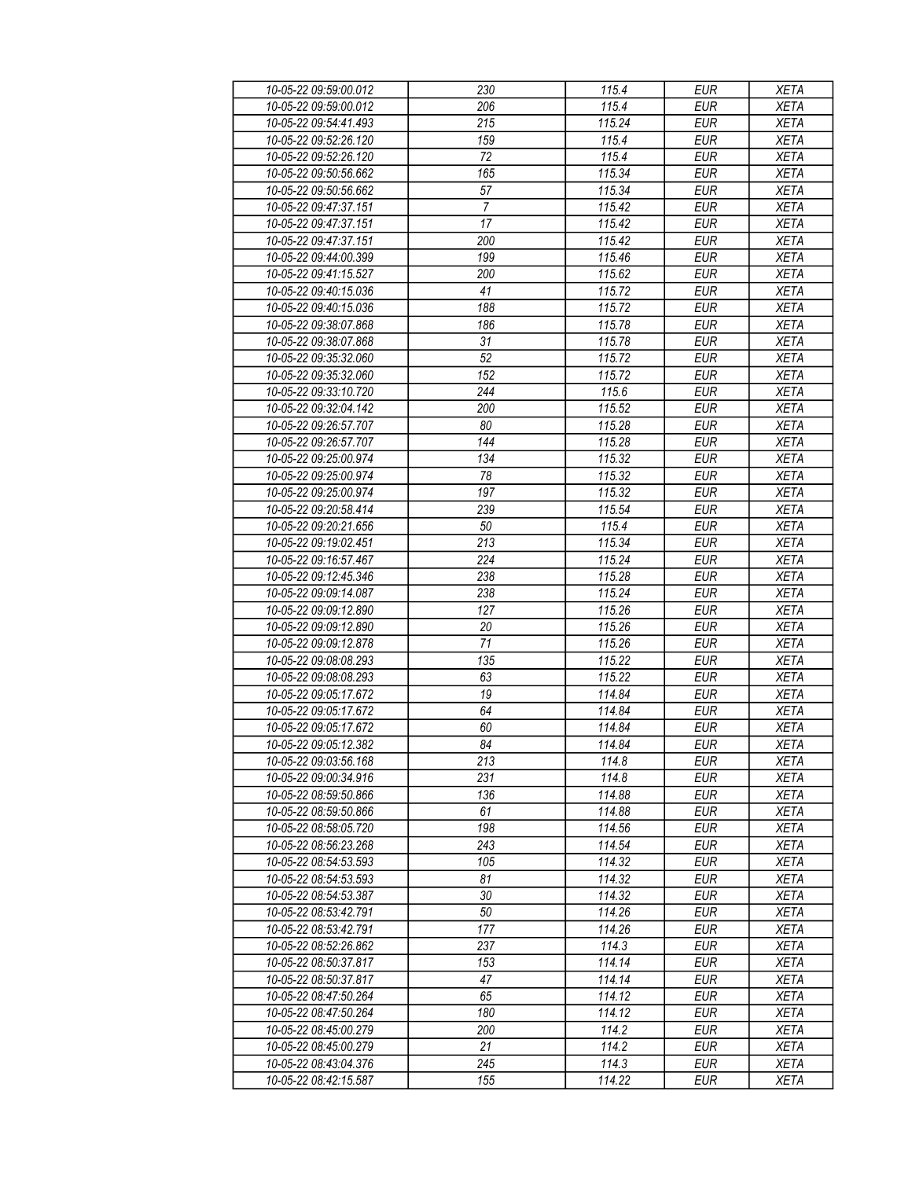| 10-05-22 09:59:00.012 | 230              | 115.4                | <b>EUR</b> | <b>XETA</b> |
|-----------------------|------------------|----------------------|------------|-------------|
| 10-05-22 09:59:00.012 | 206              | 115.4                | <b>EUR</b> | <b>XETA</b> |
| 10-05-22 09:54:41.493 | $\overline{215}$ | 115.24               | <b>EUR</b> | <b>XETA</b> |
| 10-05-22 09:52:26.120 | 159              | 115.4                | <b>EUR</b> | <b>XETA</b> |
| 10-05-22 09:52:26.120 | 72               | 115.4                | <b>EUR</b> | <b>XETA</b> |
| 10-05-22 09:50:56.662 | 165              | 115.34               | <b>EUR</b> | <b>XETA</b> |
|                       |                  | 115.34               | <b>EUR</b> |             |
| 10-05-22 09:50:56.662 | 57               |                      |            | <b>XETA</b> |
| 10-05-22 09:47:37.151 | 7                | 115.42               | <b>EUR</b> | <b>XETA</b> |
| 10-05-22 09:47:37.151 | 17               | 115.42               | <b>EUR</b> | <b>XETA</b> |
| 10-05-22 09:47:37.151 | 200              | 115.42               | <b>EUR</b> | <b>XETA</b> |
| 10-05-22 09:44:00.399 | 199              | 115.46               | <b>EUR</b> | <b>XETA</b> |
| 10-05-22 09:41:15.527 | 200              | 115.62               | <b>EUR</b> | <b>XETA</b> |
| 10-05-22 09:40:15.036 | 41               | 115.72               | <b>EUR</b> | <b>XETA</b> |
| 10-05-22 09:40:15.036 | 188              | 115.72               | <b>EUR</b> | <b>XETA</b> |
| 10-05-22 09:38:07.868 | 186              | 115.78               | <b>EUR</b> | <b>XETA</b> |
| 10-05-22 09:38:07.868 | 31               | 115.78               | <b>EUR</b> | <b>XETA</b> |
| 10-05-22 09:35:32.060 | 52               | $\overline{115}$ .72 | <b>EUR</b> | <b>XETA</b> |
| 10-05-22 09:35:32.060 | 152              | 115.72               | <b>EUR</b> | <b>XETA</b> |
| 10-05-22 09:33:10.720 | 244              | 115.6                | <b>EUR</b> | <b>XETA</b> |
| 10-05-22 09:32:04.142 | 200              | 115.52               | <b>EUR</b> | <b>XETA</b> |
| 10-05-22 09:26:57.707 | 80               | 115.28               | <b>EUR</b> | <b>XETA</b> |
|                       |                  |                      |            |             |
| 10-05-22 09:26:57.707 | 144              | 115.28               | <b>EUR</b> | <b>XETA</b> |
| 10-05-22 09:25:00.974 | 134              | 115.32               | <b>EUR</b> | <b>XETA</b> |
| 10-05-22 09:25:00.974 | 78               | 115.32               | <b>EUR</b> | <b>XETA</b> |
| 10-05-22 09:25:00.974 | 197              | 115.32               | <b>EUR</b> | <b>XETA</b> |
| 10-05-22 09:20:58.414 | 239              | 115.54               | <b>EUR</b> | <b>XETA</b> |
| 10-05-22 09:20:21.656 | 50               | 115.4                | <b>EUR</b> | <b>XETA</b> |
| 10-05-22 09:19:02.451 | $\overline{213}$ | 115.34               | <b>EUR</b> | <b>XETA</b> |
| 10-05-22 09:16:57.467 | 224              | 115.24               | <b>EUR</b> | <b>XETA</b> |
| 10-05-22 09:12:45.346 | 238              | 115.28               | <b>EUR</b> | <b>XETA</b> |
| 10-05-22 09:09:14.087 | 238              | 115.24               | <b>EUR</b> | <b>XETA</b> |
| 10-05-22 09:09:12.890 | 127              | 115.26               | <b>EUR</b> | <b>XETA</b> |
| 10-05-22 09:09:12.890 | 20               | 115.26               | <b>EUR</b> | <b>XETA</b> |
| 10-05-22 09:09:12.878 | 71               | 115.26               | <b>EUR</b> | <b>XETA</b> |
| 10-05-22 09:08:08.293 | 135              | 115.22               | <b>EUR</b> | <b>XETA</b> |
| 10-05-22 09:08:08.293 | 63               | 115.22               | <b>EUR</b> | <b>XETA</b> |
| 10-05-22 09:05:17.672 | 19               | 114.84               | <b>EUR</b> | <b>XETA</b> |
| 10-05-22 09:05:17.672 | 64               | 114.84               | <b>EUR</b> | <b>XETA</b> |
| 10-05-22 09:05:17.672 | 60               | 114.84               | <b>EUR</b> | <b>XETA</b> |
| 10-05-22 09:05:12.382 | 84               | 114.84               | <b>EUR</b> | <b>XETA</b> |
|                       |                  |                      |            |             |
| 10-05-22 09:03:56.168 | 213              | 114.8                | EUR        | XETA        |
| 10-05-22 09:00:34.916 | 231              | 114.8                | <b>EUR</b> | <b>XETA</b> |
| 10-05-22 08:59:50.866 | 136              | 114.88               | <b>EUR</b> | <b>XETA</b> |
| 10-05-22 08:59:50.866 | 61               | 114.88               | <b>EUR</b> | <b>XETA</b> |
| 10-05-22 08:58:05.720 | 198              | 114.56               | <b>EUR</b> | <b>XETA</b> |
| 10-05-22 08:56:23.268 | 243              | 114.54               | <b>EUR</b> | <b>XETA</b> |
| 10-05-22 08:54:53.593 | 105              | 114.32               | <b>EUR</b> | <b>XETA</b> |
| 10-05-22 08:54:53.593 | 81               | 114.32               | <b>EUR</b> | <b>XETA</b> |
| 10-05-22 08:54:53.387 | 30               | 114.32               | <b>EUR</b> | <b>XETA</b> |
| 10-05-22 08:53:42.791 | 50               | 114.26               | EUR        | <b>XETA</b> |
| 10-05-22 08:53:42.791 | 177              | 114.26               | <b>EUR</b> | <b>XETA</b> |
| 10-05-22 08:52:26.862 | 237              | 114.3                | <b>EUR</b> | <b>XETA</b> |
| 10-05-22 08:50:37.817 | 153              | 114.14               | <b>EUR</b> | <b>XETA</b> |
| 10-05-22 08:50:37.817 | 47               | 114.14               | EUR        | <b>XETA</b> |
| 10-05-22 08:47:50.264 | 65               | 114.12               | <b>EUR</b> | <b>XETA</b> |
|                       | 180              | 114.12               | <b>EUR</b> | <b>XETA</b> |
| 10-05-22 08:47:50.264 |                  |                      |            |             |
| 10-05-22 08:45:00.279 | 200              | 114.2                | <b>EUR</b> | <b>XETA</b> |
| 10-05-22 08:45:00.279 | 21               | 114.2                | EUR        | XETA        |
| 10-05-22 08:43:04.376 | 245              | 114.3                | EUR        | <b>XETA</b> |
| 10-05-22 08:42:15.587 | 155              | 114.22               | EUR        | <b>XETA</b> |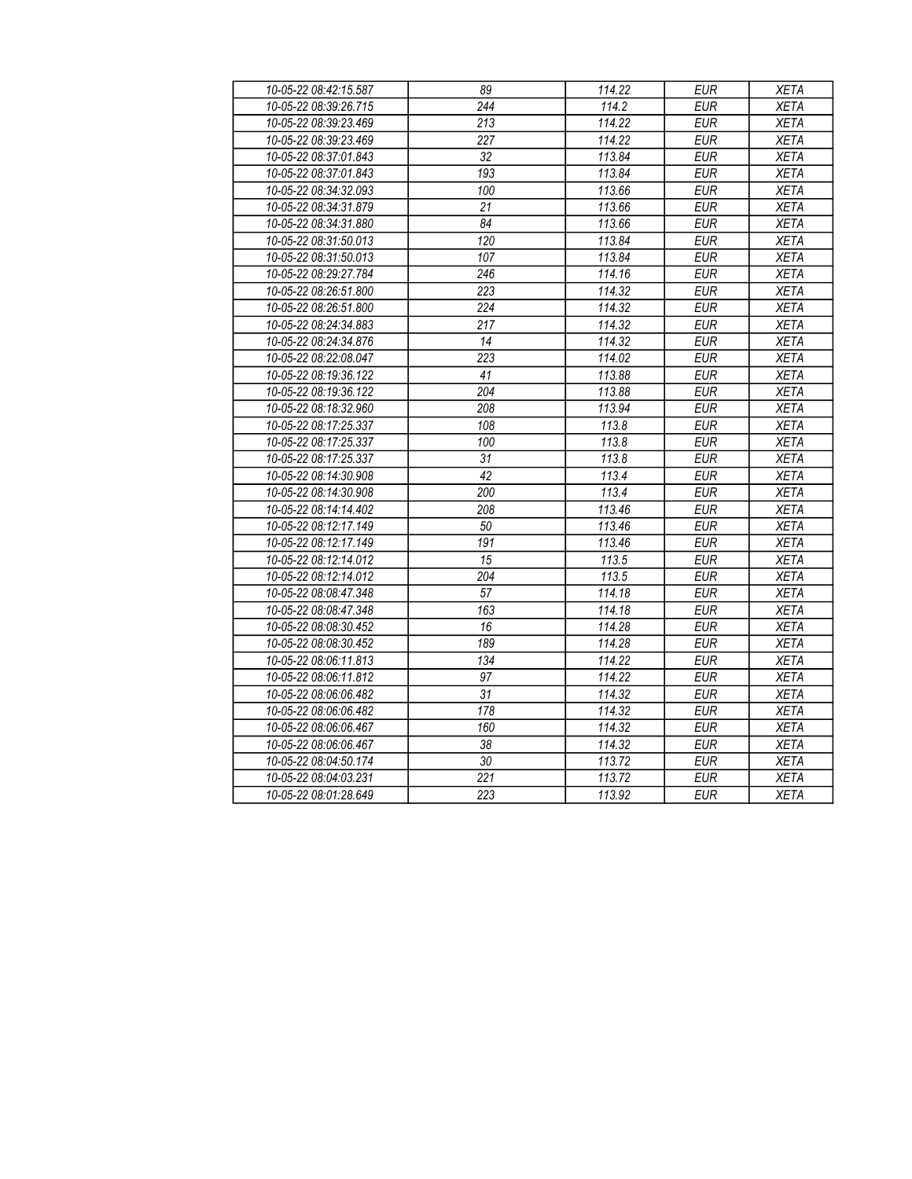| 10-05-22 08:42:15.587 | 89               | 114.22 | <b>EUR</b> | <b>XETA</b> |
|-----------------------|------------------|--------|------------|-------------|
| 10-05-22 08:39:26.715 | $\overline{244}$ | 114.2  | <b>EUR</b> | <b>XETA</b> |
| 10-05-22 08:39:23.469 | 213              | 114.22 | <b>EUR</b> | <b>XETA</b> |
| 10-05-22 08:39:23.469 | 227              | 114.22 | <b>EUR</b> | <b>XETA</b> |
| 10-05-22 08:37:01.843 | $\overline{32}$  | 113.84 | <b>EUR</b> | <b>XETA</b> |
| 10-05-22 08:37:01.843 | 193              | 113.84 | <b>EUR</b> | <b>XETA</b> |
| 10-05-22 08:34:32.093 | 100              | 113.66 | <b>EUR</b> | <b>XETA</b> |
| 10-05-22 08:34:31.879 | 21               | 113.66 | <b>EUR</b> | <b>XETA</b> |
| 10-05-22 08:34:31.880 | 84               | 113.66 | <b>EUR</b> | <b>XETA</b> |
| 10-05-22 08:31:50.013 | 120              | 113.84 | <b>EUR</b> | <b>XETA</b> |
| 10-05-22 08:31:50.013 | 107              | 113.84 | <b>EUR</b> | <b>XETA</b> |
| 10-05-22 08:29:27.784 | 246              | 114.16 | <b>EUR</b> | <b>XETA</b> |
| 10-05-22 08:26:51.800 | 223              | 114.32 | EUR        | <b>XETA</b> |
| 10-05-22 08:26:51.800 | $\overline{224}$ | 114.32 | <b>EUR</b> | <b>XETA</b> |
| 10-05-22 08:24:34.883 | 217              | 114.32 | EUR        | <b>XETA</b> |
| 10-05-22 08:24:34.876 | 14               | 114.32 | <b>EUR</b> | <b>XETA</b> |
| 10-05-22 08:22:08.047 | $\overline{223}$ | 114.02 | EUR        | <b>XETA</b> |
| 10-05-22 08:19:36.122 | 41               | 113.88 | <b>EUR</b> | <b>XETA</b> |
| 10-05-22 08:19:36.122 | 204              | 113.88 | <b>EUR</b> | <b>XETA</b> |
| 10-05-22 08:18:32.960 | 208              | 113.94 | <b>EUR</b> | <b>XETA</b> |
| 10-05-22 08:17:25.337 | 108              | 113.8  | <b>EUR</b> | <b>XETA</b> |
| 10-05-22 08:17:25.337 | 100              | 113.8  | <b>EUR</b> | <b>XETA</b> |
| 10-05-22 08:17:25.337 | 31               | 113.8  | <b>EUR</b> | <b>XETA</b> |
| 10-05-22 08:14:30.908 | 42               | 113.4  | <b>EUR</b> | <b>XETA</b> |
| 10-05-22 08:14:30.908 | 200              | 113.4  | <b>EUR</b> | <b>XETA</b> |
| 10-05-22 08:14:14.402 | 208              | 113.46 | EUR        | <b>XETA</b> |
| 10-05-22 08:12:17.149 | 50               | 113.46 | <b>EUR</b> | <b>XETA</b> |
| 10-05-22 08:12:17.149 | 191              | 113.46 | EUR        | <b>XETA</b> |
| 10-05-22 08:12:14.012 | $\overline{15}$  | 113.5  | <b>EUR</b> | <b>XETA</b> |
| 10-05-22 08:12:14.012 | 204              | 113.5  | <b>EUR</b> | <b>XETA</b> |
| 10-05-22 08:08:47.348 | 57               | 114.18 | <b>EUR</b> | <b>XETA</b> |
| 10-05-22 08:08:47.348 | 163              | 114.18 | <b>EUR</b> | <b>XETA</b> |
| 10-05-22 08:08:30.452 | 16               | 114.28 | <b>EUR</b> | <b>XETA</b> |
| 10-05-22 08:08:30.452 | 189              | 114.28 | <b>EUR</b> | <b>XETA</b> |
| 10-05-22 08:06:11.813 | 134              | 114.22 | <b>EUR</b> | <b>XETA</b> |
| 10-05-22 08:06:11.812 | $\overline{97}$  | 114.22 | <b>EUR</b> | <b>XETA</b> |
| 10-05-22 08:06:06.482 | $\overline{31}$  | 114.32 | <b>EUR</b> | <b>XETA</b> |
| 10-05-22 08:06:06.482 | 178              | 114.32 | <b>EUR</b> | <b>XETA</b> |
| 10-05-22 08:06:06.467 | 160              | 114.32 | <b>EUR</b> | <b>XETA</b> |
| 10-05-22 08:06:06.467 | $\overline{38}$  | 114.32 | EUR        | <b>XETA</b> |
| 10-05-22 08:04:50.174 | $\overline{30}$  | 113.72 | EUR        | <b>XETA</b> |
| 10-05-22 08:04:03.231 | $\overline{221}$ | 113.72 | <b>EUR</b> | <b>XETA</b> |
| 10-05-22 08:01:28.649 | $\overline{223}$ | 113.92 | <b>EUR</b> | <b>XETA</b> |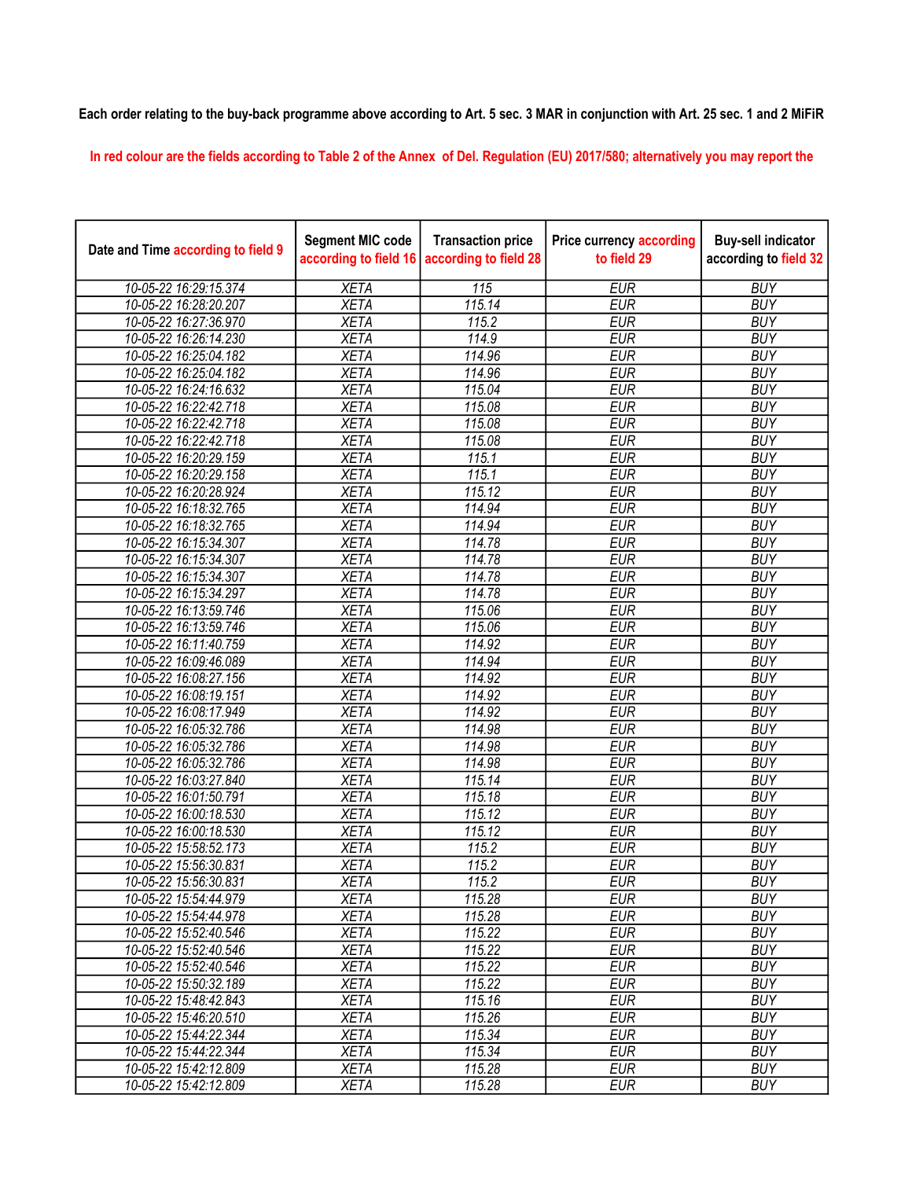## Each order relating to the buy-back programme above according to Art. 5 sec. 3 MAR in conjunction with Art. 25 sec. 1 and 2 MiFiR

In red colour are the fields according to Table 2 of the Annex of Del. Regulation (EU) 2017/580; alternatively you may report the

| Date and Time according to field 9 | <b>Segment MIC code</b><br>according to field 16 | <b>Transaction price</b><br>according to field 28 | <b>Price currency according</b><br>to field 29 | <b>Buy-sell indicator</b><br>according to field 32 |
|------------------------------------|--------------------------------------------------|---------------------------------------------------|------------------------------------------------|----------------------------------------------------|
| 10-05-22 16:29:15.374              | <b>XETA</b>                                      | $\overline{115}$                                  | <b>EUR</b>                                     | <b>BUY</b>                                         |
| 10-05-22 16:28:20.207              | <b>XETA</b>                                      | 115.14                                            | <b>EUR</b>                                     | <b>BUY</b>                                         |
| 10-05-22 16:27:36.970              | <b>XETA</b>                                      | 115.2                                             | <b>EUR</b>                                     | <b>BUY</b>                                         |
| 10-05-22 16:26:14.230              | <b>XETA</b>                                      | 114.9                                             | <b>EUR</b>                                     | <b>BUY</b>                                         |
| 10-05-22 16:25:04.182              | <b>XETA</b>                                      | 114.96                                            | <b>EUR</b>                                     | <b>BUY</b>                                         |
| 10-05-22 16:25:04.182              | <b>XETA</b>                                      | 114.96                                            | <b>EUR</b>                                     | <b>BUY</b>                                         |
| 10-05-22 16:24:16.632              | <b>XETA</b>                                      | 115.04                                            | <b>EUR</b>                                     | <b>BUY</b>                                         |
| 10-05-22 16:22:42.718              | <b>XETA</b>                                      | 115.08                                            | <b>EUR</b>                                     | <b>BUY</b>                                         |
| 10-05-22 16:22:42.718              | <b>XETA</b>                                      | 115.08                                            | <b>EUR</b>                                     | <b>BUY</b>                                         |
| 10-05-22 16:22:42.718              | <b>XETA</b>                                      | 115.08                                            | <b>EUR</b>                                     | <b>BUY</b>                                         |
| 10-05-22 16:20:29.159              | <b>XETA</b>                                      | 115.1                                             | <b>EUR</b>                                     | <b>BUY</b>                                         |
| 10-05-22 16:20:29.158              | <b>XETA</b>                                      | 115.1                                             | <b>EUR</b>                                     | <b>BUY</b>                                         |
| 10-05-22 16:20:28.924              | <b>XETA</b>                                      | 115.12                                            | <b>EUR</b>                                     | <b>BUY</b>                                         |
| 10-05-22 16:18:32.765              | <b>XETA</b>                                      | 114.94                                            | <b>EUR</b>                                     | <b>BUY</b>                                         |
| 10-05-22 16:18:32.765              | <b>XETA</b>                                      | 114.94                                            | <b>EUR</b>                                     | <b>BUY</b>                                         |
| 10-05-22 16:15:34.307              | <b>XETA</b>                                      | 114.78                                            | <b>EUR</b>                                     | <b>BUY</b>                                         |
| 10-05-22 16:15:34.307              | <b>XETA</b>                                      | 114.78                                            | <b>EUR</b>                                     | <b>BUY</b>                                         |
| 10-05-22 16:15:34.307              | <b>XETA</b>                                      | 114.78                                            | <b>EUR</b>                                     | <b>BUY</b>                                         |
| 10-05-22 16:15:34.297              | <b>XETA</b>                                      | 114.78                                            | <b>EUR</b>                                     | <b>BUY</b>                                         |
| 10-05-22 16:13:59.746              | <b>XETA</b>                                      | 115.06                                            | <b>EUR</b>                                     | <b>BUY</b>                                         |
| 10-05-22 16:13:59.746              | <b>XETA</b>                                      | 115.06                                            | <b>EUR</b>                                     | <b>BUY</b>                                         |
| 10-05-22 16:11:40.759              | <b>XETA</b>                                      | 114.92                                            | <b>EUR</b>                                     | <b>BUY</b>                                         |
| 10-05-22 16:09:46.089              | <b>XETA</b>                                      | 114.94                                            | <b>EUR</b>                                     | <b>BUY</b>                                         |
| 10-05-22 16:08:27.156              | <b>XETA</b>                                      | 114.92                                            | <b>EUR</b>                                     | <b>BUY</b>                                         |
| 10-05-22 16:08:19.151              | <b>XETA</b>                                      | 114.92                                            | <b>EUR</b>                                     | <b>BUY</b>                                         |
| 10-05-22 16:08:17.949              | <b>XETA</b>                                      | 114.92                                            | <b>EUR</b>                                     | <b>BUY</b>                                         |
| 10-05-22 16:05:32.786              | <b>XETA</b>                                      | 114.98                                            | <b>EUR</b>                                     | <b>BUY</b>                                         |
| 10-05-22 16:05:32.786              | <b>XETA</b>                                      | 114.98                                            | <b>EUR</b>                                     | <b>BUY</b>                                         |
| 10-05-22 16:05:32.786              | <b>XETA</b>                                      | 114.98                                            | <b>EUR</b>                                     | <b>BUY</b>                                         |
| 10-05-22 16:03:27.840              | <b>XETA</b>                                      | 115.14                                            | <b>EUR</b>                                     | <b>BUY</b>                                         |
| 10-05-22 16:01:50.791              | <b>XETA</b>                                      | 115.18                                            | <b>EUR</b>                                     | <b>BUY</b>                                         |
| 10-05-22 16:00:18.530              | <b>XETA</b>                                      | 115.12                                            | <b>EUR</b>                                     | <b>BUY</b>                                         |
| 10-05-22 16:00:18.530              | <b>XETA</b>                                      | 115.12                                            | <b>EUR</b>                                     | <b>BUY</b>                                         |
| 10-05-22 15:58:52.173              | <b>XETA</b>                                      | 115.2                                             | <b>EUR</b>                                     | <b>BUY</b>                                         |
| 10-05-22 15:56:30.831              | <b>XETA</b>                                      | 115.2                                             | <b>EUR</b>                                     | <b>BUY</b>                                         |
| 10-05-22 15:56:30.831              | <b>XETA</b>                                      | 115.2                                             | <b>EUR</b>                                     | <b>BUY</b>                                         |
| 10-05-22 15:54:44.979              | <b>XETA</b>                                      | 115.28                                            | <b>EUR</b>                                     | <b>BUY</b>                                         |
| 10-05-22 15:54:44.978              | <b>XETA</b>                                      | 115.28                                            | <b>EUR</b>                                     | <b>BUY</b>                                         |
| 10-05-22 15:52:40.546              | <b>XETA</b>                                      | 115.22                                            | <b>EUR</b>                                     | <b>BUY</b>                                         |
| 10-05-22 15:52:40.546              | <b>XETA</b>                                      | 115.22                                            | <b>EUR</b>                                     | <b>BUY</b>                                         |
| 10-05-22 15:52:40.546              | <b>XETA</b>                                      | 115.22                                            | <b>EUR</b>                                     | <b>BUY</b>                                         |
| 10-05-22 15:50:32.189              | <b>XETA</b>                                      | 115.22                                            | <b>EUR</b>                                     | <b>BUY</b>                                         |
| 10-05-22 15:48:42.843              | <b>XETA</b>                                      | 115.16                                            | <b>EUR</b>                                     | <b>BUY</b>                                         |
| 10-05-22 15:46:20.510              | <b>XETA</b>                                      | 115.26                                            | <b>EUR</b>                                     | <b>BUY</b>                                         |
| 10-05-22 15:44:22.344              | <b>XETA</b>                                      | 115.34                                            | <b>EUR</b>                                     | <b>BUY</b>                                         |
| 10-05-22 15:44:22.344              | <b>XETA</b>                                      | 115.34                                            | <b>EUR</b>                                     | <b>BUY</b>                                         |
| 10-05-22 15:42:12.809              | <b>XETA</b>                                      | 115.28                                            | <b>EUR</b>                                     | <b>BUY</b>                                         |
| 10-05-22 15:42:12.809              | <b>XETA</b>                                      | 115.28                                            | <b>EUR</b>                                     | <b>BUY</b>                                         |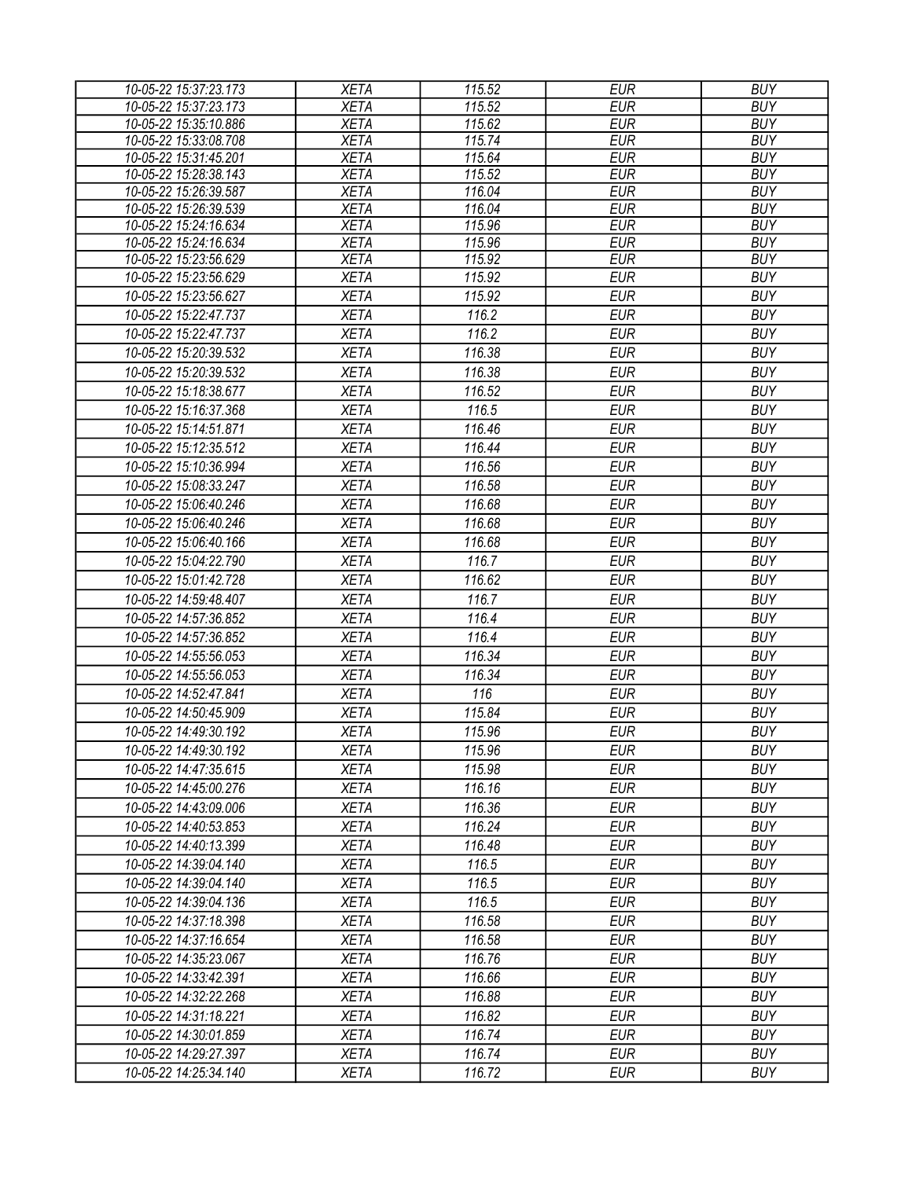| <b>EUR</b><br>10-05-22 15:37:23.173<br><b>XETA</b><br>115.52<br><b>XETA</b><br>115.62<br><b>EUR</b><br>10-05-22 15:35:10.886 | <b>BUY</b><br><b>BUY</b> |
|------------------------------------------------------------------------------------------------------------------------------|--------------------------|
|                                                                                                                              |                          |
|                                                                                                                              |                          |
| 10-05-22 15:33:08.708<br><b>XETA</b><br>115.74<br><b>EUR</b>                                                                 | <b>BUY</b>               |
| <b>XETA</b><br><b>EUR</b><br>10-05-22 15:31:45.201<br>115.64                                                                 | <b>BUY</b>               |
| 10-05-22 15:28:38.143<br><b>XETA</b><br>115.52<br><b>EUR</b>                                                                 | <b>BUY</b>               |
| 10-05-22 15:26:39.587<br><b>EUR</b><br><b>XETA</b><br>116.04                                                                 | <b>BUY</b>               |
| <b>EUR</b><br>10-05-22 15:26:39.539<br><b>XETA</b><br>116.04                                                                 | <b>BUY</b>               |
| 10-05-22 15:24:16.634<br><b>XETA</b><br>115.96<br><b>EUR</b>                                                                 | <b>BUY</b>               |
| 115.96<br><b>EUR</b><br>10-05-22 15:24:16.634<br><b>XETA</b>                                                                 | <b>BUY</b>               |
| <b>EUR</b><br><b>XETA</b><br>115.92<br>10-05-22 15:23:56.629                                                                 | <b>BUY</b>               |
| <b>EUR</b><br><b>XETA</b><br>115.92<br>10-05-22 15:23:56.629                                                                 | <b>BUY</b>               |
| <b>XETA</b><br>115.92<br><b>EUR</b><br>10-05-22 15:23:56.627                                                                 | <b>BUY</b>               |
| 10-05-22 15:22:47.737<br><b>XETA</b><br>116.2<br><b>EUR</b>                                                                  | <b>BUY</b>               |
| <b>EUR</b><br>10-05-22 15:22:47.737<br><b>XETA</b><br>116.2                                                                  | <b>BUY</b>               |
| <b>EUR</b><br>10-05-22 15:20:39.532<br><b>XETA</b><br>116.38                                                                 | <b>BUY</b>               |
| 10-05-22 15:20:39.532<br><b>XETA</b><br>116.38<br><b>EUR</b>                                                                 | <b>BUY</b>               |
| <b>EUR</b><br>10-05-22 15:18:38.677<br><b>XETA</b><br>116.52                                                                 | <b>BUY</b>               |
| 116.5<br><b>EUR</b><br>10-05-22 15:16:37.368<br><b>XETA</b>                                                                  | <b>BUY</b>               |
| <b>EUR</b><br>10-05-22 15:14:51.871<br><b>XETA</b><br>116.46                                                                 | <b>BUY</b>               |
| <b>XETA</b><br>116.44<br><b>EUR</b><br>10-05-22 15:12:35.512                                                                 | <b>BUY</b>               |
| 10-05-22 15:10:36.994<br><b>XETA</b><br>116.56<br><b>EUR</b>                                                                 | <b>BUY</b>               |
| <b>XETA</b><br>116.58<br><b>EUR</b><br>10-05-22 15:08:33.247                                                                 | <b>BUY</b>               |
| <b>EUR</b><br>10-05-22 15:06:40.246<br><b>XETA</b><br>116.68                                                                 | <b>BUY</b>               |
| 10-05-22 15:06:40.246<br><b>XETA</b><br>116.68<br><b>EUR</b>                                                                 | <b>BUY</b>               |
|                                                                                                                              |                          |
| 116.68<br>10-05-22 15:06:40.166<br><b>XETA</b><br><b>EUR</b>                                                                 | <b>BUY</b>               |
| 116.7<br><b>XETA</b><br><b>EUR</b><br>10-05-22 15:04:22.790                                                                  | <b>BUY</b>               |
| <b>EUR</b><br>10-05-22 15:01:42.728<br><b>XETA</b><br>116.62                                                                 | <b>BUY</b>               |
| 116.7<br><b>EUR</b><br>10-05-22 14:59:48.407<br><b>XETA</b>                                                                  | <b>BUY</b>               |
| 10-05-22 14:57:36.852<br>116.4<br><b>EUR</b><br><b>XETA</b>                                                                  | <b>BUY</b>               |
| 116.4<br>10-05-22 14:57:36.852<br><b>XETA</b><br><b>EUR</b>                                                                  | <b>BUY</b>               |
| 10-05-22 14:55:56.053<br><b>XETA</b><br>116.34<br><b>EUR</b>                                                                 | <b>BUY</b>               |
| 10-05-22 14:55:56.053<br><b>EUR</b><br><b>XETA</b><br>116.34                                                                 | <b>BUY</b>               |
| 116<br><b>EUR</b><br>10-05-22 14:52:47.841<br><b>XETA</b>                                                                    | <b>BUY</b>               |
| <b>XETA</b><br>115.84<br><b>EUR</b><br>10-05-22 14:50:45.909                                                                 | <b>BUY</b>               |
| <b>XETA</b><br><b>EUR</b><br>10-05-22 14:49:30.192<br>115.96                                                                 | <b>BUY</b>               |
| <b>XETA</b><br>115.96<br><b>EUR</b><br>10-05-22 14:49:30.192                                                                 | <b>BUY</b>               |
| <b>XETA</b><br>115.98<br>EUR<br>10-05-22 14:47:35.615                                                                        | <b>BUY</b>               |
| 116.16<br><b>EUR</b><br>10-05-22 14:45:00.276<br><b>XETA</b>                                                                 | <b>BUY</b>               |
| 116.36<br><b>EUR</b><br>10-05-22 14:43:09.006<br><b>XETA</b>                                                                 | <b>BUY</b>               |
| 116.24<br><b>EUR</b><br>10-05-22 14:40:53.853<br><b>XETA</b>                                                                 | <b>BUY</b>               |
| <b>XETA</b><br>116.48<br><b>EUR</b><br>10-05-22 14:40:13.399                                                                 | <b>BUY</b>               |
| 116.5                                                                                                                        | <b>BUY</b>               |
| <b>XETA</b><br><b>EUR</b><br>10-05-22 14:39:04.140                                                                           |                          |
| <b>EUR</b><br><b>XETA</b><br>116.5<br>10-05-22 14:39:04.140                                                                  | <b>BUY</b>               |
| 116.5<br><b>EUR</b><br><b>XETA</b><br>10-05-22 14:39:04.136                                                                  | <b>BUY</b>               |
| <b>EUR</b><br>10-05-22 14:37:18.398<br><b>XETA</b><br>116.58                                                                 | <b>BUY</b>               |
| 10-05-22 14:37:16.654<br><b>XETA</b><br>116.58<br>EUR                                                                        | <b>BUY</b>               |
| <b>EUR</b><br><b>XETA</b><br>116.76<br>10-05-22 14:35:23.067                                                                 | <b>BUY</b>               |
| 116.66<br><b>EUR</b><br>10-05-22 14:33:42.391<br><b>XETA</b>                                                                 | <b>BUY</b>               |
| <b>EUR</b><br><b>XETA</b><br>116.88<br>10-05-22 14:32:22.268                                                                 | <b>BUY</b>               |
| <b>XETA</b><br>116.82<br><b>EUR</b><br>10-05-22 14:31:18.221                                                                 | <b>BUY</b>               |
| <b>EUR</b><br><b>XETA</b><br>116.74<br>10-05-22 14:30:01.859                                                                 | <b>BUY</b>               |
| 116.74<br><b>EUR</b><br>10-05-22 14:29:27.397<br><b>XETA</b>                                                                 | <b>BUY</b>               |
| <b>EUR</b><br>10-05-22 14:25:34.140<br><b>XETA</b><br>116.72                                                                 | <b>BUY</b>               |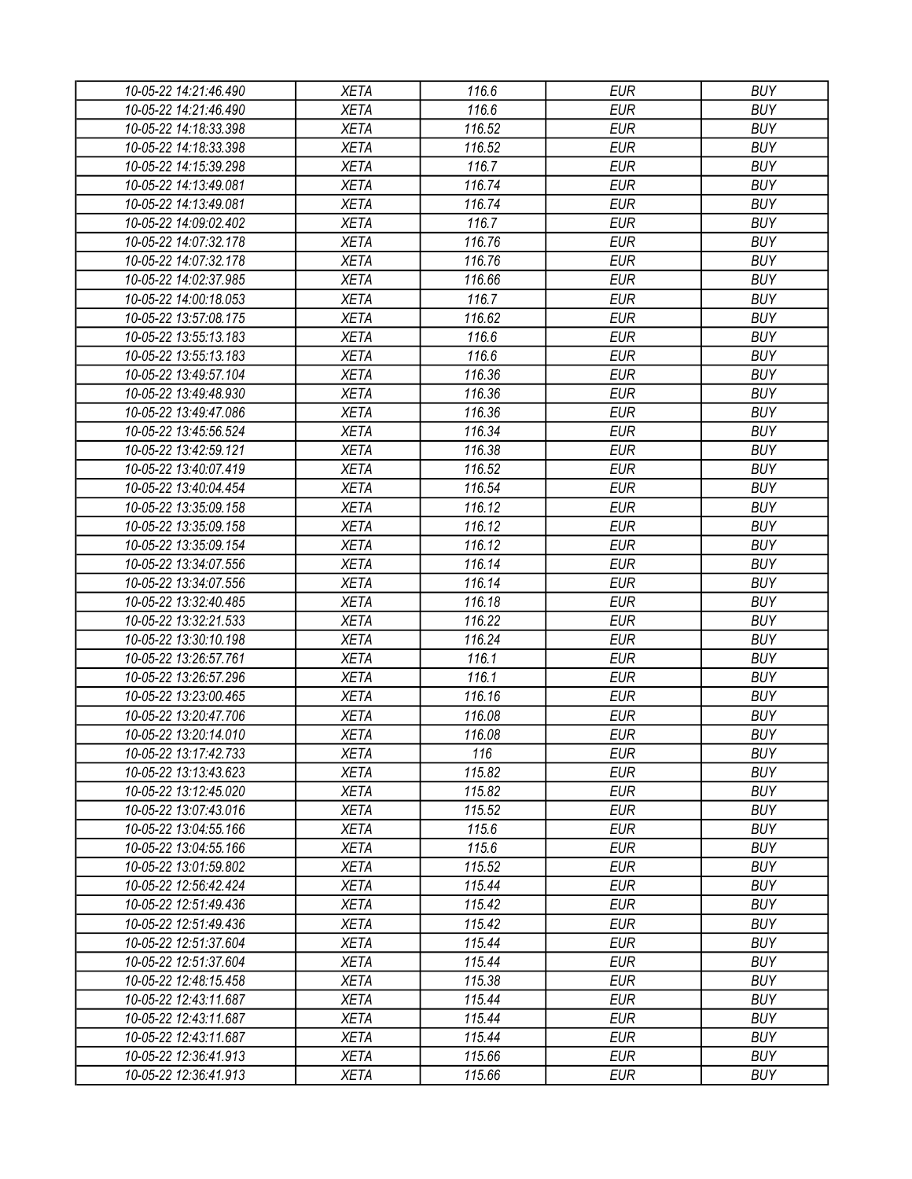| 10-05-22 14:21:46.490 | <b>XETA</b> | 116.6            | <b>EUR</b>               | <b>BUY</b>               |
|-----------------------|-------------|------------------|--------------------------|--------------------------|
| 10-05-22 14:21:46.490 | <b>XETA</b> | 116.6            | <b>EUR</b>               | <b>BUY</b>               |
| 10-05-22 14:18:33.398 | <b>XETA</b> | 116.52           | <b>EUR</b>               | <b>BUY</b>               |
| 10-05-22 14:18:33.398 | <b>XETA</b> | 116.52           | <b>EUR</b>               | <b>BUY</b>               |
| 10-05-22 14:15:39.298 | <b>XETA</b> | 116.7            | <b>EUR</b>               | <b>BUY</b>               |
| 10-05-22 14:13:49.081 | <b>XETA</b> | 116.74           | <b>EUR</b>               | <b>BUY</b>               |
| 10-05-22 14:13:49.081 | <b>XETA</b> | 116.74           | <b>EUR</b>               | <b>BUY</b>               |
| 10-05-22 14:09:02.402 | <b>XETA</b> | 116.7            | <b>EUR</b>               | <b>BUY</b>               |
| 10-05-22 14:07:32.178 | <b>XETA</b> | 116.76           | <b>EUR</b>               | <b>BUY</b>               |
| 10-05-22 14:07:32.178 | <b>XETA</b> | 116.76           | <b>EUR</b>               | <b>BUY</b>               |
| 10-05-22 14:02:37.985 | <b>XETA</b> | 116.66           | <b>EUR</b>               | <b>BUY</b>               |
| 10-05-22 14:00:18.053 | <b>XETA</b> | 116.7            | <b>EUR</b>               | <b>BUY</b>               |
| 10-05-22 13:57:08.175 | <b>XETA</b> | 116.62           | <b>EUR</b>               | <b>BUY</b>               |
| 10-05-22 13:55:13.183 | <b>XETA</b> | 116.6            | <b>EUR</b>               | <b>BUY</b>               |
| 10-05-22 13:55:13.183 | <b>XETA</b> | 116.6            | <b>EUR</b>               | <b>BUY</b>               |
| 10-05-22 13:49:57.104 | <b>XETA</b> | 116.36           | <b>EUR</b>               | <b>BUY</b>               |
| 10-05-22 13:49:48.930 | <b>XETA</b> | 116.36           | <b>EUR</b>               | <b>BUY</b>               |
| 10-05-22 13:49:47.086 | <b>XETA</b> | 116.36           | <b>EUR</b>               | <b>BUY</b>               |
| 10-05-22 13:45:56.524 | <b>XETA</b> | 116.34           | <b>EUR</b>               | <b>BUY</b>               |
| 10-05-22 13:42:59.121 | <b>XETA</b> | 116.38           | <b>EUR</b>               | <b>BUY</b>               |
| 10-05-22 13:40:07.419 | <b>XETA</b> | 116.52           | <b>EUR</b>               | <b>BUY</b>               |
| 10-05-22 13:40:04.454 | <b>XETA</b> | 116.54           | <b>EUR</b>               | <b>BUY</b>               |
| 10-05-22 13:35:09.158 | <b>XETA</b> | 116.12           | <b>EUR</b>               | <b>BUY</b>               |
| 10-05-22 13:35:09.158 | <b>XETA</b> | 116.12           | <b>EUR</b>               | <b>BUY</b>               |
| 10-05-22 13:35:09.154 | <b>XETA</b> | 116.12           | <b>EUR</b>               | <b>BUY</b>               |
| 10-05-22 13:34:07.556 | <b>XETA</b> | 116.14           | <b>EUR</b>               | <b>BUY</b>               |
| 10-05-22 13:34:07.556 | <b>XETA</b> | 116.14           | <b>EUR</b>               | <b>BUY</b>               |
| 10-05-22 13:32:40.485 | <b>XETA</b> | 116.18           | <b>EUR</b>               | <b>BUY</b>               |
| 10-05-22 13:32:21.533 | <b>XETA</b> | 116.22           | <b>EUR</b>               | <b>BUY</b>               |
| 10-05-22 13:30:10.198 | <b>XETA</b> | 116.24           | <b>EUR</b>               | <b>BUY</b>               |
| 10-05-22 13:26:57.761 | <b>XETA</b> | 116.1            | <b>EUR</b>               | <b>BUY</b>               |
| 10-05-22 13:26:57.296 | <b>XETA</b> | 116.1            | <b>EUR</b>               | <b>BUY</b>               |
| 10-05-22 13:23:00.465 | <b>XETA</b> | 116.16           | <b>EUR</b>               | <b>BUY</b>               |
| 10-05-22 13:20:47.706 | <b>XETA</b> | 116.08           | <b>EUR</b>               | <b>BUY</b>               |
| 10-05-22 13:20:14.010 | <b>XETA</b> | 116.08           | <b>EUR</b>               | <b>BUY</b>               |
|                       |             |                  |                          |                          |
| 10-05-22 13:17:42.733 | <b>XETA</b> | 116              | <b>EUR</b><br><b>EUR</b> | <b>BUY</b><br><b>BUY</b> |
| 10-05-22 13:13:43.623 | <b>XETA</b> | 115.82<br>115.82 | <b>EUR</b>               | <b>BUY</b>               |
| 10-05-22 13:12:45.020 | <b>XETA</b> |                  |                          |                          |
| 10-05-22 13:07:43.016 | <b>XETA</b> | 115.52           | <b>EUR</b>               | <b>BUY</b>               |
| 10-05-22 13:04:55.166 | <b>XETA</b> | 115.6            | <b>EUR</b>               | <b>BUY</b>               |
| 10-05-22 13:04:55.166 | <b>XETA</b> | 115.6            | <b>EUR</b>               | <b>BUY</b>               |
| 10-05-22 13:01:59.802 | <b>XETA</b> | 115.52           | <b>EUR</b>               | <b>BUY</b>               |
| 10-05-22 12:56:42.424 | <b>XETA</b> | 115.44           | <b>EUR</b>               | <b>BUY</b>               |
| 10-05-22 12:51:49.436 | <b>XETA</b> | 115.42           | <b>EUR</b>               | <b>BUY</b>               |
| 10-05-22 12:51:49.436 | <b>XETA</b> | 115.42           | <b>EUR</b>               | <b>BUY</b>               |
| 10-05-22 12:51:37.604 | <b>XETA</b> | 115.44           | <b>EUR</b>               | <b>BUY</b>               |
| 10-05-22 12:51:37.604 | <b>XETA</b> | 115.44           | <b>EUR</b>               | <b>BUY</b>               |
| 10-05-22 12:48:15.458 | <b>XETA</b> | 115.38           | <b>EUR</b>               | <b>BUY</b>               |
| 10-05-22 12:43:11.687 | <b>XETA</b> | 115.44           | <b>EUR</b>               | <b>BUY</b>               |
| 10-05-22 12:43:11.687 | <b>XETA</b> | 115.44           | <b>EUR</b>               | <b>BUY</b>               |
| 10-05-22 12:43:11.687 | <b>XETA</b> | 115.44           | <b>EUR</b>               | <b>BUY</b>               |
| 10-05-22 12:36:41.913 | <b>XETA</b> | 115.66           | <b>EUR</b>               | <b>BUY</b>               |
| 10-05-22 12:36:41.913 | <b>XETA</b> | 115.66           | <b>EUR</b>               | <b>BUY</b>               |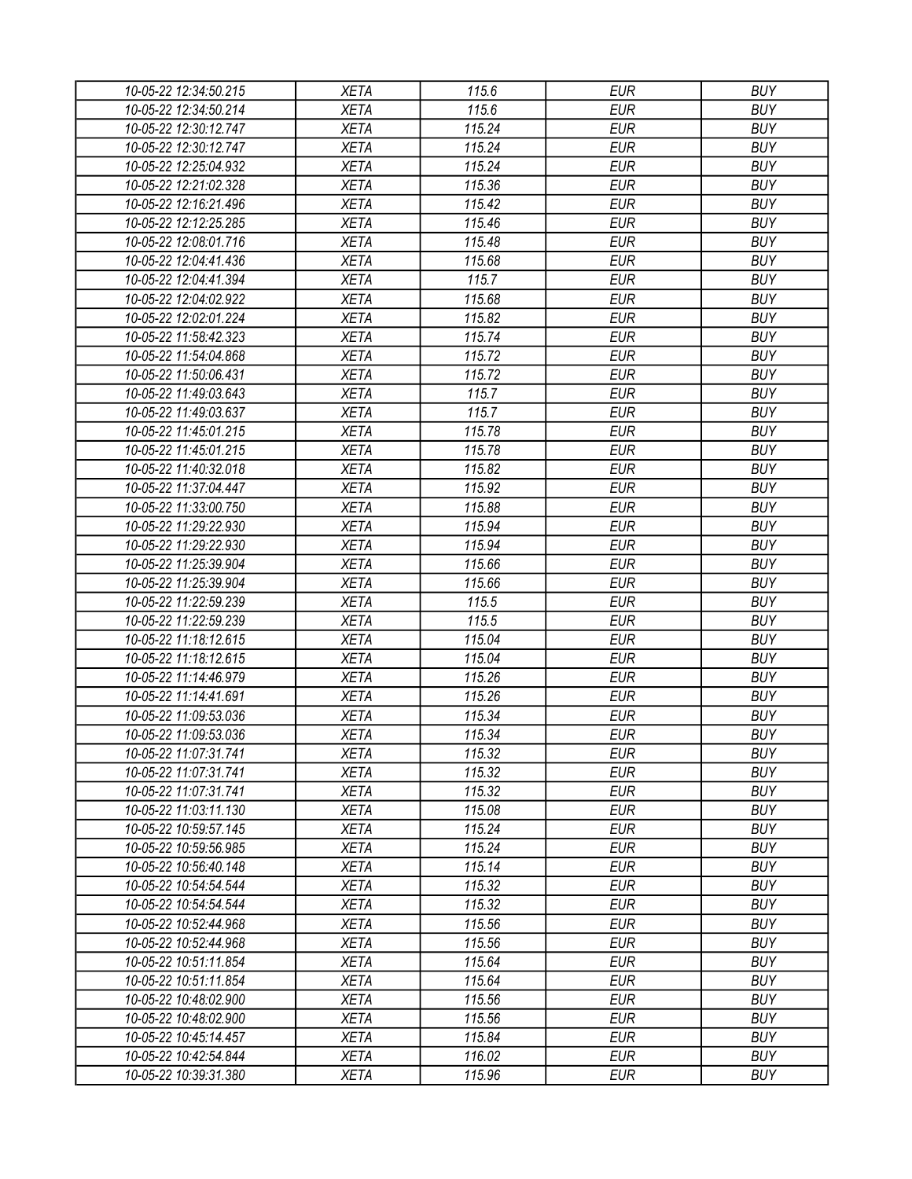| 10-05-22 12:34:50.215 | <b>XETA</b> | 115.6  | <b>EUR</b> | <b>BUY</b> |
|-----------------------|-------------|--------|------------|------------|
| 10-05-22 12:34:50.214 | <b>XETA</b> | 115.6  | <b>EUR</b> | <b>BUY</b> |
| 10-05-22 12:30:12.747 | <b>XETA</b> | 115.24 | <b>EUR</b> | <b>BUY</b> |
| 10-05-22 12:30:12.747 | <b>XETA</b> | 115.24 | <b>EUR</b> | <b>BUY</b> |
| 10-05-22 12:25:04.932 | <b>XETA</b> | 115.24 | <b>EUR</b> | <b>BUY</b> |
| 10-05-22 12:21:02.328 | <b>XETA</b> | 115.36 | <b>EUR</b> | <b>BUY</b> |
| 10-05-22 12:16:21.496 | <b>XETA</b> | 115.42 | <b>EUR</b> | <b>BUY</b> |
| 10-05-22 12:12:25.285 | <b>XETA</b> | 115.46 | <b>EUR</b> | <b>BUY</b> |
| 10-05-22 12:08:01.716 | <b>XETA</b> | 115.48 | <b>EUR</b> | <b>BUY</b> |
| 10-05-22 12:04:41.436 | <b>XETA</b> | 115.68 | <b>EUR</b> | <b>BUY</b> |
| 10-05-22 12:04:41.394 | <b>XETA</b> | 115.7  | <b>EUR</b> | <b>BUY</b> |
| 10-05-22 12:04:02.922 | <b>XETA</b> | 115.68 | <b>EUR</b> | <b>BUY</b> |
| 10-05-22 12:02:01.224 | <b>XETA</b> | 115.82 | <b>EUR</b> | <b>BUY</b> |
| 10-05-22 11:58:42.323 | <b>XETA</b> | 115.74 | <b>EUR</b> | <b>BUY</b> |
| 10-05-22 11:54:04.868 | <b>XETA</b> | 115.72 | <b>EUR</b> | <b>BUY</b> |
| 10-05-22 11:50:06.431 | <b>XETA</b> | 115.72 | <b>EUR</b> | <b>BUY</b> |
| 10-05-22 11:49:03.643 | <b>XETA</b> | 115.7  | <b>EUR</b> | <b>BUY</b> |
| 10-05-22 11:49:03.637 | <b>XETA</b> | 115.7  | <b>EUR</b> | <b>BUY</b> |
| 10-05-22 11:45:01.215 | <b>XETA</b> | 115.78 | <b>EUR</b> | <b>BUY</b> |
| 10-05-22 11:45:01.215 | <b>XETA</b> | 115.78 | <b>EUR</b> | <b>BUY</b> |
| 10-05-22 11:40:32.018 | <b>XETA</b> | 115.82 | <b>EUR</b> | <b>BUY</b> |
| 10-05-22 11:37:04.447 | <b>XETA</b> | 115.92 | <b>EUR</b> | <b>BUY</b> |
| 10-05-22 11:33:00.750 | <b>XETA</b> | 115.88 | <b>EUR</b> | <b>BUY</b> |
| 10-05-22 11:29:22.930 | <b>XETA</b> | 115.94 | <b>EUR</b> | <b>BUY</b> |
| 10-05-22 11:29:22.930 | <b>XETA</b> | 115.94 | <b>EUR</b> | <b>BUY</b> |
| 10-05-22 11:25:39.904 | <b>XETA</b> | 115.66 | <b>EUR</b> | <b>BUY</b> |
| 10-05-22 11:25:39.904 | <b>XETA</b> | 115.66 | <b>EUR</b> | <b>BUY</b> |
| 10-05-22 11:22:59.239 | <b>XETA</b> | 115.5  | <b>EUR</b> | <b>BUY</b> |
| 10-05-22 11:22:59.239 | <b>XETA</b> | 115.5  | <b>EUR</b> | <b>BUY</b> |
| 10-05-22 11:18:12.615 | <b>XETA</b> | 115.04 | <b>EUR</b> | <b>BUY</b> |
| 10-05-22 11:18:12.615 | <b>XETA</b> | 115.04 | <b>EUR</b> | <b>BUY</b> |
| 10-05-22 11:14:46.979 | <b>XETA</b> | 115.26 | <b>EUR</b> | <b>BUY</b> |
| 10-05-22 11:14:41.691 | <b>XETA</b> | 115.26 | <b>EUR</b> | <b>BUY</b> |
| 10-05-22 11:09:53.036 | <b>XETA</b> | 115.34 | <b>EUR</b> | <b>BUY</b> |
| 10-05-22 11:09:53.036 | <b>XETA</b> | 115.34 | <b>EUR</b> | <b>BUY</b> |
| 10-05-22 11:07:31.741 | <b>XETA</b> | 115.32 | <b>EUR</b> | <b>BUY</b> |
| 10-05-22 11:07:31.741 |             |        | <b>EUR</b> | <b>BUY</b> |
|                       | <b>XETA</b> | 115.32 |            |            |
| 10-05-22 11:07:31.741 | <b>XETA</b> | 115.32 | <b>EUR</b> | <b>BUY</b> |
| 10-05-22 11:03:11.130 | <b>XETA</b> | 115.08 | <b>EUR</b> | <b>BUY</b> |
| 10-05-22 10:59:57.145 | <b>XETA</b> | 115.24 | <b>EUR</b> | <b>BUY</b> |
| 10-05-22 10:59:56.985 | <b>XETA</b> | 115.24 | <b>EUR</b> | <b>BUY</b> |
| 10-05-22 10:56:40.148 | <b>XETA</b> | 115.14 | <b>EUR</b> | <b>BUY</b> |
| 10-05-22 10:54:54.544 | <b>XETA</b> | 115.32 | <b>EUR</b> | <b>BUY</b> |
| 10-05-22 10:54:54.544 | <b>XETA</b> | 115.32 | <b>EUR</b> | <b>BUY</b> |
| 10-05-22 10:52:44.968 | <b>XETA</b> | 115.56 | <b>EUR</b> | <b>BUY</b> |
| 10-05-22 10:52:44.968 | <b>XETA</b> | 115.56 | <b>EUR</b> | <b>BUY</b> |
| 10-05-22 10:51:11.854 | <b>XETA</b> | 115.64 | <b>EUR</b> | <b>BUY</b> |
| 10-05-22 10:51:11.854 | <b>XETA</b> | 115.64 | <b>EUR</b> | <b>BUY</b> |
| 10-05-22 10:48:02.900 | <b>XETA</b> | 115.56 | <b>EUR</b> | <b>BUY</b> |
| 10-05-22 10:48:02.900 | <b>XETA</b> | 115.56 | <b>EUR</b> | <b>BUY</b> |
| 10-05-22 10:45:14.457 | <b>XETA</b> | 115.84 | <b>EUR</b> | <b>BUY</b> |
| 10-05-22 10:42:54.844 | <b>XETA</b> | 116.02 | <b>EUR</b> | <b>BUY</b> |
| 10-05-22 10:39:31.380 | <b>XETA</b> | 115.96 | <b>EUR</b> | <b>BUY</b> |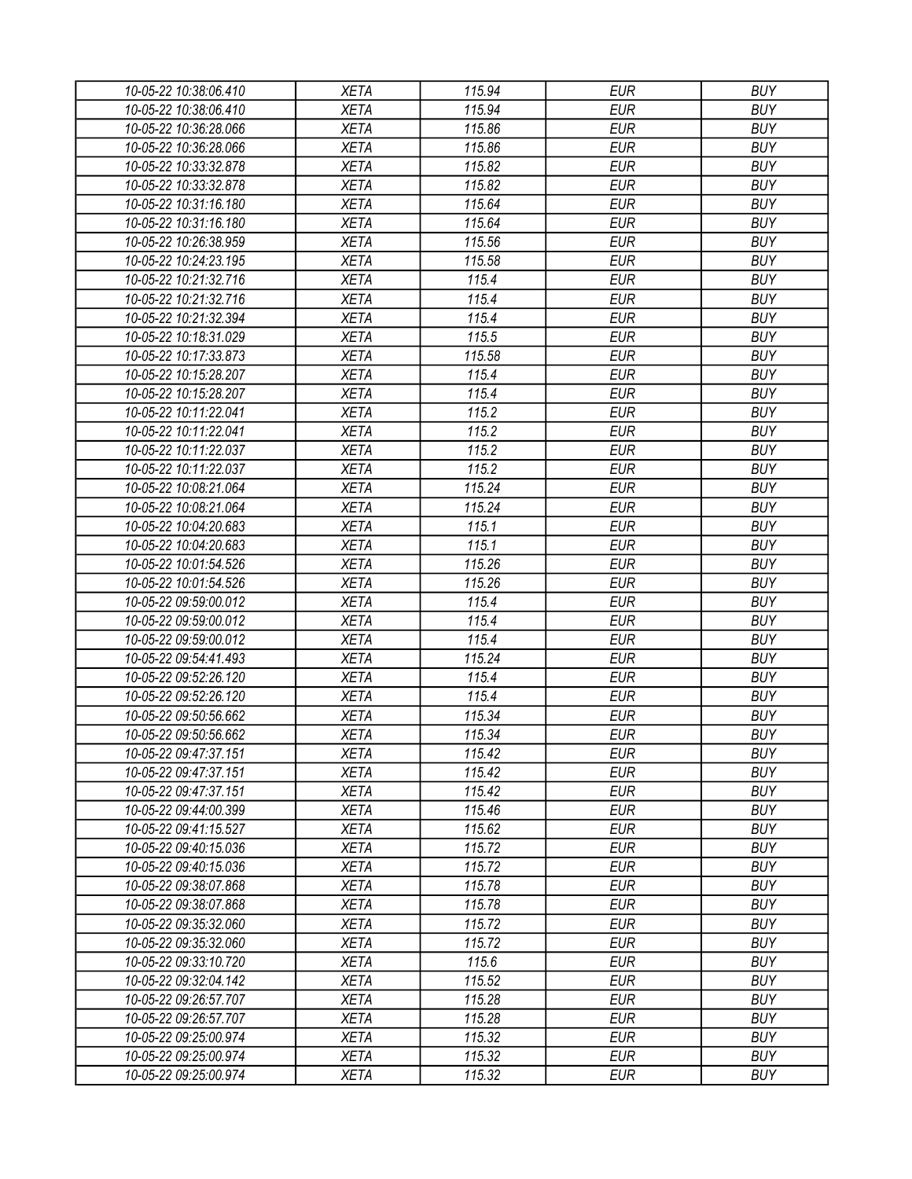| 10-05-22 10:38:06.410 | <b>XETA</b> | 115.94 | <b>EUR</b> | <b>BUY</b> |
|-----------------------|-------------|--------|------------|------------|
| 10-05-22 10:38:06.410 | <b>XETA</b> | 115.94 | <b>EUR</b> | <b>BUY</b> |
| 10-05-22 10:36:28.066 | <b>XETA</b> | 115.86 | <b>EUR</b> | <b>BUY</b> |
| 10-05-22 10:36:28.066 | <b>XETA</b> | 115.86 | <b>EUR</b> | <b>BUY</b> |
| 10-05-22 10:33:32.878 | <b>XETA</b> | 115.82 | <b>EUR</b> | <b>BUY</b> |
| 10-05-22 10:33:32.878 | <b>XETA</b> | 115.82 | <b>EUR</b> | <b>BUY</b> |
| 10-05-22 10:31:16.180 | <b>XETA</b> | 115.64 | <b>EUR</b> | <b>BUY</b> |
| 10-05-22 10:31:16.180 | <b>XETA</b> | 115.64 | <b>EUR</b> | <b>BUY</b> |
| 10-05-22 10:26:38.959 | <b>XETA</b> | 115.56 | <b>EUR</b> | <b>BUY</b> |
| 10-05-22 10:24:23.195 | <b>XETA</b> | 115.58 | <b>EUR</b> | <b>BUY</b> |
| 10-05-22 10:21:32.716 | <b>XETA</b> | 115.4  | <b>EUR</b> | <b>BUY</b> |
| 10-05-22 10:21:32.716 | <b>XETA</b> | 115.4  | <b>EUR</b> | <b>BUY</b> |
| 10-05-22 10:21:32.394 | <b>XETA</b> | 115.4  | <b>EUR</b> | <b>BUY</b> |
| 10-05-22 10:18:31.029 | <b>XETA</b> | 115.5  | <b>EUR</b> | <b>BUY</b> |
| 10-05-22 10:17:33.873 | <b>XETA</b> | 115.58 | <b>EUR</b> | <b>BUY</b> |
| 10-05-22 10:15:28.207 | <b>XETA</b> | 115.4  | <b>EUR</b> | <b>BUY</b> |
| 10-05-22 10:15:28.207 | <b>XETA</b> | 115.4  | <b>EUR</b> | <b>BUY</b> |
| 10-05-22 10:11:22.041 | <b>XETA</b> | 115.2  | <b>EUR</b> | <b>BUY</b> |
| 10-05-22 10:11:22.041 | <b>XETA</b> | 115.2  | <b>EUR</b> | <b>BUY</b> |
| 10-05-22 10:11:22.037 | <b>XETA</b> | 115.2  | <b>EUR</b> | <b>BUY</b> |
| 10-05-22 10:11:22.037 | <b>XETA</b> | 115.2  | <b>EUR</b> | <b>BUY</b> |
| 10-05-22 10:08:21.064 | <b>XETA</b> | 115.24 | <b>EUR</b> | <b>BUY</b> |
| 10-05-22 10:08:21.064 | <b>XETA</b> | 115.24 | <b>EUR</b> | <b>BUY</b> |
| 10-05-22 10:04:20.683 | <b>XETA</b> | 115.1  | <b>EUR</b> | <b>BUY</b> |
| 10-05-22 10:04:20.683 | <b>XETA</b> | 115.1  | <b>EUR</b> | <b>BUY</b> |
| 10-05-22 10:01:54.526 | <b>XETA</b> | 115.26 | <b>EUR</b> | <b>BUY</b> |
| 10-05-22 10:01:54.526 | <b>XETA</b> | 115.26 | <b>EUR</b> | <b>BUY</b> |
| 10-05-22 09:59:00.012 | <b>XETA</b> | 115.4  | <b>EUR</b> | <b>BUY</b> |
| 10-05-22 09:59:00.012 | <b>XETA</b> | 115.4  | <b>EUR</b> | <b>BUY</b> |
| 10-05-22 09:59:00.012 | <b>XETA</b> | 115.4  | <b>EUR</b> | <b>BUY</b> |
| 10-05-22 09:54:41.493 | <b>XETA</b> | 115.24 | <b>EUR</b> | <b>BUY</b> |
| 10-05-22 09:52:26.120 |             |        | <b>EUR</b> | <b>BUY</b> |
|                       | <b>XETA</b> | 115.4  |            |            |
| 10-05-22 09:52:26.120 | <b>XETA</b> | 115.4  | <b>EUR</b> | <b>BUY</b> |
| 10-05-22 09:50:56.662 | <b>XETA</b> | 115.34 | <b>EUR</b> | <b>BUY</b> |
| 10-05-22 09:50:56.662 | <b>XETA</b> | 115.34 | <b>EUR</b> | <b>BUY</b> |
| 10-05-22 09:47:37.151 | <b>XETA</b> | 115.42 | <b>EUR</b> | <b>BUY</b> |
| 10-05-22 09:47:37.151 | <b>XETA</b> | 115.42 | <b>EUR</b> | <b>BUY</b> |
| 10-05-22 09:47:37.151 | <b>XETA</b> | 115.42 | <b>EUR</b> | <b>BUY</b> |
| 10-05-22 09:44:00.399 | <b>XETA</b> | 115.46 | <b>EUR</b> | <b>BUY</b> |
| 10-05-22 09:41:15.527 | <b>XETA</b> | 115.62 | <b>EUR</b> | <b>BUY</b> |
| 10-05-22 09:40:15.036 | <b>XETA</b> | 115.72 | <b>EUR</b> | <b>BUY</b> |
| 10-05-22 09:40:15.036 | <b>XETA</b> | 115.72 | <b>EUR</b> | <b>BUY</b> |
| 10-05-22 09:38:07.868 | <b>XETA</b> | 115.78 | <b>EUR</b> | <b>BUY</b> |
| 10-05-22 09:38:07.868 | <b>XETA</b> | 115.78 | <b>EUR</b> | <b>BUY</b> |
| 10-05-22 09:35:32.060 | <b>XETA</b> | 115.72 | <b>EUR</b> | <b>BUY</b> |
| 10-05-22 09:35:32.060 | <b>XETA</b> | 115.72 | <b>EUR</b> | <b>BUY</b> |
| 10-05-22 09:33:10.720 | <b>XETA</b> | 115.6  | <b>EUR</b> | <b>BUY</b> |
| 10-05-22 09:32:04.142 | <b>XETA</b> | 115.52 | <b>EUR</b> | <b>BUY</b> |
| 10-05-22 09:26:57.707 | <b>XETA</b> | 115.28 | <b>EUR</b> | <b>BUY</b> |
| 10-05-22 09:26:57.707 | <b>XETA</b> | 115.28 | <b>EUR</b> | <b>BUY</b> |
| 10-05-22 09:25:00.974 | <b>XETA</b> | 115.32 | <b>EUR</b> | <b>BUY</b> |
| 10-05-22 09:25:00.974 | <b>XETA</b> | 115.32 | <b>EUR</b> | <b>BUY</b> |
| 10-05-22 09:25:00.974 | <b>XETA</b> | 115.32 | <b>EUR</b> | <b>BUY</b> |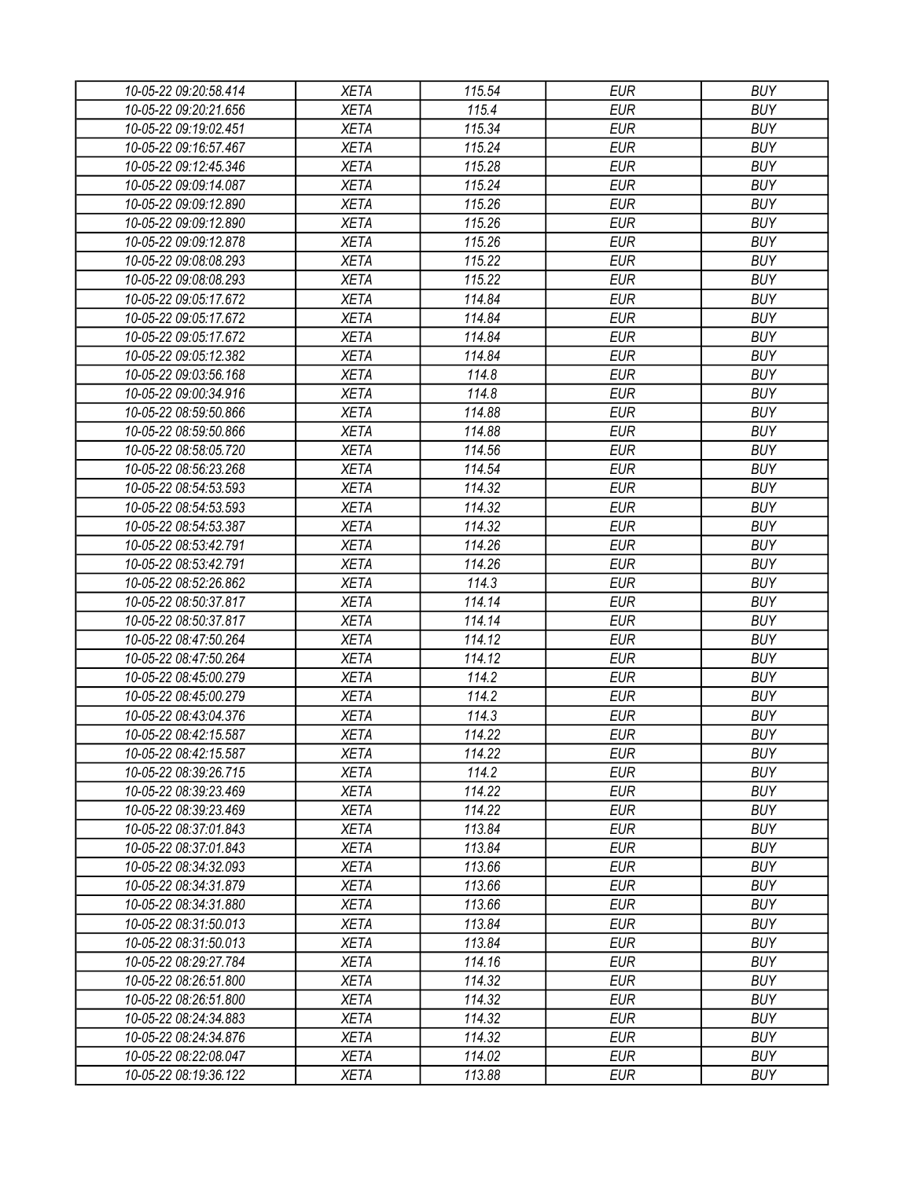| 10-05-22 09:20:58.414 | <b>XETA</b>                | 115.54 | <b>EUR</b> | <b>BUY</b> |
|-----------------------|----------------------------|--------|------------|------------|
| 10-05-22 09:20:21.656 | <b>XETA</b>                | 115.4  | <b>EUR</b> | <b>BUY</b> |
| 10-05-22 09:19:02.451 | <b>XETA</b>                | 115.34 | <b>EUR</b> | <b>BUY</b> |
| 10-05-22 09:16:57.467 | <b>XETA</b>                | 115.24 | <b>EUR</b> | <b>BUY</b> |
| 10-05-22 09:12:45.346 | <b>XETA</b>                | 115.28 | <b>EUR</b> | <b>BUY</b> |
| 10-05-22 09:09:14.087 | <b>XETA</b>                | 115.24 | <b>EUR</b> | <b>BUY</b> |
| 10-05-22 09:09:12.890 | <b>XETA</b>                | 115.26 | <b>EUR</b> | <b>BUY</b> |
| 10-05-22 09:09:12.890 | <b>XETA</b>                | 115.26 | <b>EUR</b> | <b>BUY</b> |
| 10-05-22 09:09:12.878 | <b>XETA</b>                | 115.26 | <b>EUR</b> | <b>BUY</b> |
| 10-05-22 09:08:08.293 | <b>XETA</b>                | 115.22 | <b>EUR</b> | <b>BUY</b> |
| 10-05-22 09:08:08.293 | <b>XETA</b>                | 115.22 | <b>EUR</b> | <b>BUY</b> |
| 10-05-22 09:05:17.672 | <b>XETA</b>                | 114.84 | <b>EUR</b> | <b>BUY</b> |
| 10-05-22 09:05:17.672 | <b>XETA</b>                | 114.84 | <b>EUR</b> | <b>BUY</b> |
| 10-05-22 09:05:17.672 | <b>XETA</b>                | 114.84 | <b>EUR</b> | <b>BUY</b> |
| 10-05-22 09:05:12.382 | <b>XETA</b>                | 114.84 | <b>EUR</b> | <b>BUY</b> |
| 10-05-22 09:03:56.168 | <b>XETA</b>                | 114.8  | <b>EUR</b> | <b>BUY</b> |
| 10-05-22 09:00:34.916 | <b>XETA</b>                | 114.8  | <b>EUR</b> | <b>BUY</b> |
| 10-05-22 08:59:50.866 | <b>XETA</b>                | 114.88 | <b>EUR</b> | <b>BUY</b> |
| 10-05-22 08:59:50.866 | <b>XETA</b>                | 114.88 | <b>EUR</b> | <b>BUY</b> |
| 10-05-22 08:58:05.720 | <b>XETA</b>                | 114.56 | <b>EUR</b> | <b>BUY</b> |
| 10-05-22 08:56:23.268 | <b>XETA</b>                | 114.54 | <b>EUR</b> | <b>BUY</b> |
| 10-05-22 08:54:53.593 | <b>XETA</b>                | 114.32 | <b>EUR</b> | <b>BUY</b> |
| 10-05-22 08:54:53.593 | <b>XETA</b>                | 114.32 | <b>EUR</b> | <b>BUY</b> |
| 10-05-22 08:54:53.387 | <b>XETA</b>                | 114.32 | <b>EUR</b> | <b>BUY</b> |
| 10-05-22 08:53:42.791 | <b>XETA</b>                | 114.26 | <b>EUR</b> | <b>BUY</b> |
| 10-05-22 08:53:42.791 | <b>XETA</b>                | 114.26 | <b>EUR</b> | <b>BUY</b> |
| 10-05-22 08:52:26.862 | <b>XETA</b>                | 114.3  | <b>EUR</b> | <b>BUY</b> |
| 10-05-22 08:50:37.817 | <b>XETA</b>                | 114.14 | <b>EUR</b> | <b>BUY</b> |
| 10-05-22 08:50:37.817 | <b>XETA</b>                | 114.14 | <b>EUR</b> | <b>BUY</b> |
| 10-05-22 08:47:50.264 | <b>XETA</b>                | 114.12 | <b>EUR</b> | <b>BUY</b> |
| 10-05-22 08:47:50.264 | <b>XETA</b>                | 114.12 | <b>EUR</b> | <b>BUY</b> |
| 10-05-22 08:45:00.279 | <b>XETA</b>                | 114.2  | <b>EUR</b> | <b>BUY</b> |
| 10-05-22 08:45:00.279 | <b>XETA</b>                | 114.2  | <b>EUR</b> | <b>BUY</b> |
|                       |                            | 114.3  | <b>EUR</b> | <b>BUY</b> |
| 10-05-22 08:43:04.376 | <b>XETA</b>                | 114.22 | <b>EUR</b> | <b>BUY</b> |
| 10-05-22 08:42:15.587 | <b>XETA</b><br><b>XETA</b> | 114.22 |            | <b>BUY</b> |
| 10-05-22 08:42:15.587 |                            |        | <b>EUR</b> |            |
| 10-05-22 08:39:26.715 | <b>XETA</b>                | 114.2  | <b>EUR</b> | <b>BUY</b> |
| 10-05-22 08:39:23.469 | <b>XETA</b>                | 114.22 | <b>EUR</b> | <b>BUY</b> |
| 10-05-22 08:39:23.469 | <b>XETA</b>                | 114.22 | <b>EUR</b> | <b>BUY</b> |
| 10-05-22 08:37:01.843 | <b>XETA</b>                | 113.84 | <b>EUR</b> | <b>BUY</b> |
| 10-05-22 08:37:01.843 | <b>XETA</b>                | 113.84 | <b>EUR</b> | <b>BUY</b> |
| 10-05-22 08:34:32.093 | <b>XETA</b>                | 113.66 | <b>EUR</b> | <b>BUY</b> |
| 10-05-22 08:34:31.879 | <b>XETA</b>                | 113.66 | <b>EUR</b> | <b>BUY</b> |
| 10-05-22 08:34:31.880 | <b>XETA</b>                | 113.66 | <b>EUR</b> | <b>BUY</b> |
| 10-05-22 08:31:50.013 | <b>XETA</b>                | 113.84 | <b>EUR</b> | <b>BUY</b> |
| 10-05-22 08:31:50.013 | <b>XETA</b>                | 113.84 | <b>EUR</b> | <b>BUY</b> |
| 10-05-22 08:29:27.784 | <b>XETA</b>                | 114.16 | <b>EUR</b> | <b>BUY</b> |
| 10-05-22 08:26:51.800 | <b>XETA</b>                | 114.32 | <b>EUR</b> | <b>BUY</b> |
| 10-05-22 08:26:51.800 | <b>XETA</b>                | 114.32 | <b>EUR</b> | <b>BUY</b> |
| 10-05-22 08:24:34.883 | <b>XETA</b>                | 114.32 | <b>EUR</b> | <b>BUY</b> |
| 10-05-22 08:24:34.876 | <b>XETA</b>                | 114.32 | EUR        | <b>BUY</b> |
| 10-05-22 08:22:08.047 | XETA                       | 114.02 | <b>EUR</b> | <b>BUY</b> |
| 10-05-22 08:19:36.122 | <b>XETA</b>                | 113.88 | <b>EUR</b> | <b>BUY</b> |